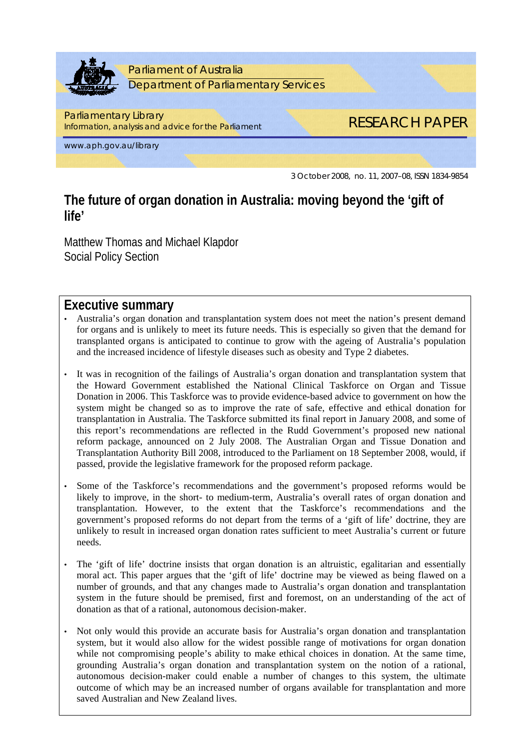

# **The future of organ donation in Australia: moving beyond the 'gift of life'**

Matthew Thomas and Michael Klapdor Social Policy Section

# **Executive summary**

- Australia's organ donation and transplantation system does not meet the nation's present demand for organs and is unlikely to meet its future needs. This is especially so given that the demand for transplanted organs is anticipated to continue to grow with the ageing of Australia's population and the increased incidence of lifestyle diseases such as obesity and Type 2 diabetes.
- It was in recognition of the failings of Australia's organ donation and transplantation system that the Howard Government established the National Clinical Taskforce on Organ and Tissue Donation in 2006. This Taskforce was to provide evidence-based advice to government on how the system might be changed so as to improve the rate of safe, effective and ethical donation for transplantation in Australia. The Taskforce submitted its final report in January 2008, and some of this report's recommendations are reflected in the Rudd Government's proposed new national reform package, announced on 2 July 2008. The Australian Organ and Tissue Donation and Transplantation Authority Bill 2008, introduced to the Parliament on 18 September 2008, would, if passed, provide the legislative framework for the proposed reform package.
- Some of the Taskforce's recommendations and the government's proposed reforms would be likely to improve, in the short- to medium-term, Australia's overall rates of organ donation and transplantation. However, to the extent that the Taskforce's recommendations and the government's proposed reforms do not depart from the terms of a 'gift of life' doctrine, they are unlikely to result in increased organ donation rates sufficient to meet Australia's current or future needs.
- The 'gift of life' doctrine insists that organ donation is an altruistic, egalitarian and essentially moral act. This paper argues that the 'gift of life' doctrine may be viewed as being flawed on a number of grounds, and that any changes made to Australia's organ donation and transplantation system in the future should be premised, first and foremost, on an understanding of the act of donation as that of a rational, autonomous decision-maker.
- Not only would this provide an accurate basis for Australia's organ donation and transplantation system, but it would also allow for the widest possible range of motivations for organ donation while not compromising people's ability to make ethical choices in donation. At the same time, grounding Australia's organ donation and transplantation system on the notion of a rational, autonomous decision-maker could enable a number of changes to this system, the ultimate outcome of which may be an increased number of organs available for transplantation and more saved Australian and New Zealand lives.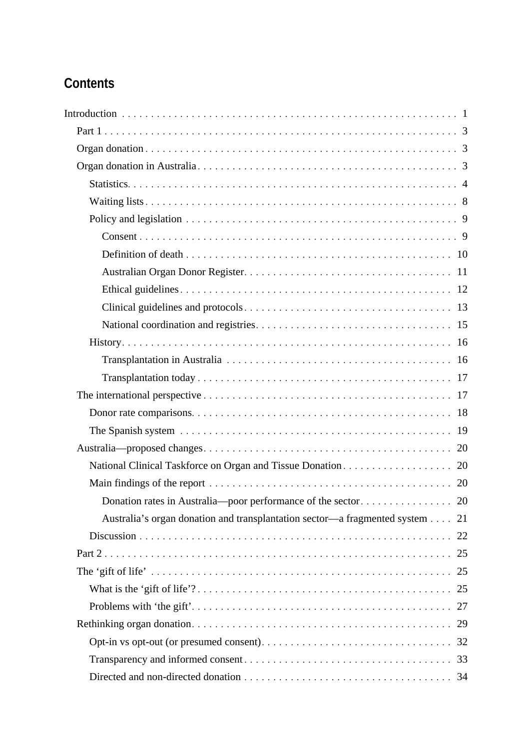# **Contents**

| Australia's organ donation and transplantation sector—a fragmented system | 21 |
|---------------------------------------------------------------------------|----|
|                                                                           | 22 |
|                                                                           | 25 |
|                                                                           | 25 |
|                                                                           |    |
|                                                                           | 27 |
|                                                                           | 29 |
|                                                                           |    |
|                                                                           | 33 |
|                                                                           |    |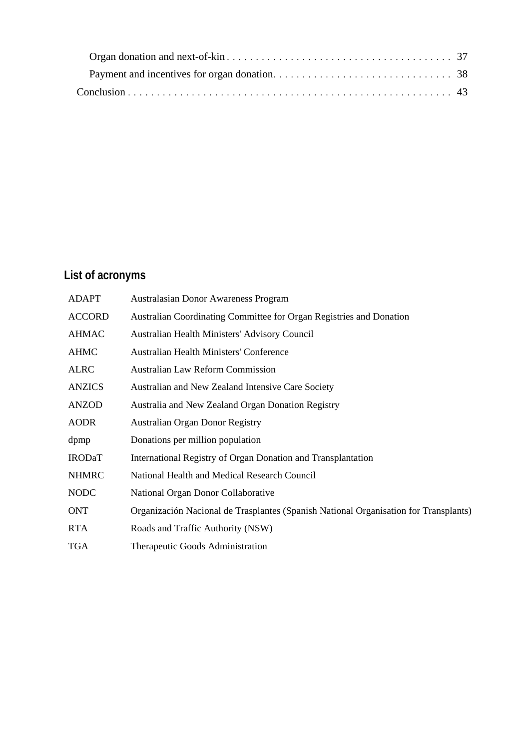# **List of acronyms**

| <b>ADAPT</b>  | <b>Australasian Donor Awareness Program</b>                                          |
|---------------|--------------------------------------------------------------------------------------|
| <b>ACCORD</b> | Australian Coordinating Committee for Organ Registries and Donation                  |
| <b>AHMAC</b>  | Australian Health Ministers' Advisory Council                                        |
| <b>AHMC</b>   | <b>Australian Health Ministers' Conference</b>                                       |
| <b>ALRC</b>   | <b>Australian Law Reform Commission</b>                                              |
| <b>ANZICS</b> | Australian and New Zealand Intensive Care Society                                    |
| <b>ANZOD</b>  | Australia and New Zealand Organ Donation Registry                                    |
| <b>AODR</b>   | <b>Australian Organ Donor Registry</b>                                               |
| dpmp          | Donations per million population                                                     |
| <b>IRODaT</b> | International Registry of Organ Donation and Transplantation                         |
| <b>NHMRC</b>  | National Health and Medical Research Council                                         |
| <b>NODC</b>   | National Organ Donor Collaborative                                                   |
| <b>ONT</b>    | Organización Nacional de Trasplantes (Spanish National Organisation for Transplants) |
| <b>RTA</b>    | Roads and Traffic Authority (NSW)                                                    |
| <b>TGA</b>    | Therapeutic Goods Administration                                                     |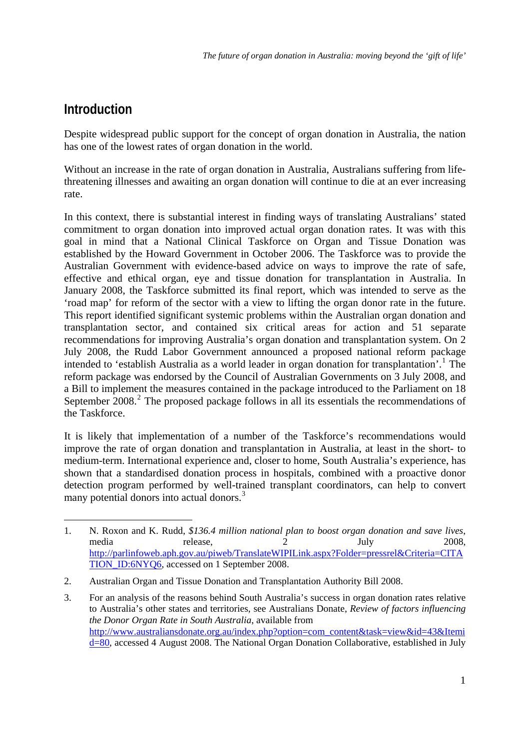# <span id="page-3-0"></span>**Introduction**

1

Despite widespread public support for the concept of organ donation in Australia, the nation has one of the lowest rates of organ donation in the world.

Without an increase in the rate of organ donation in Australia, Australians suffering from lifethreatening illnesses and awaiting an organ donation will continue to die at an ever increasing rate.

In this context, there is substantial interest in finding ways of translating Australians' stated commitment to organ donation into improved actual organ donation rates. It was with this goal in mind that a National Clinical Taskforce on Organ and Tissue Donation was established by the Howard Government in October 2006. The Taskforce was to provide the Australian Government with evidence-based advice on ways to improve the rate of safe, effective and ethical organ, eye and tissue donation for transplantation in Australia. In January 2008, the Taskforce submitted its final report, which was intended to serve as the 'road map' for reform of the sector with a view to lifting the organ donor rate in the future. This report identified significant systemic problems within the Australian organ donation and transplantation sector, and contained six critical areas for action and 51 separate recommendations for improving Australia's organ donation and transplantation system. On 2 July 2008, the Rudd Labor Government announced a proposed national reform package intended to 'establish Australia as a world leader in organ donation for transplantation'.<sup>[1](#page-3-1)</sup> The reform package was endorsed by the Council of Australian Governments on 3 July 2008, and a Bill to implement the measures contained in the package introduced to the Parliament on 18 September  $2008<sup>2</sup>$  $2008<sup>2</sup>$ . The proposed package follows in all its essentials the recommendations of the Taskforce.

It is likely that implementation of a number of the Taskforce's recommendations would improve the rate of organ donation and transplantation in Australia, at least in the short- to medium-term. International experience and, closer to home, South Australia's experience, has shown that a standardised donation process in hospitals, combined with a proactive donor detection program performed by well-trained transplant coordinators, can help to convert many potential donors into actual donors.<sup>[3](#page-3-3)</sup>

<span id="page-3-1"></span><sup>1.</sup> N. Roxon and K. Rudd, *\$136.4 million national plan to boost organ donation and save lives*, media release, 2 July 2008, [http://parlinfoweb.aph.gov.au/piweb/TranslateWIPILink.aspx?Folder=pressrel&Criteria=CITA](http://parlinfoweb.aph.gov.au/piweb/TranslateWIPILink.aspx?Folder=pressrel&Criteria=CITATION_ID:6NYQ6) [TION\\_ID:6NYQ6,](http://parlinfoweb.aph.gov.au/piweb/TranslateWIPILink.aspx?Folder=pressrel&Criteria=CITATION_ID:6NYQ6) accessed on 1 September 2008.

<span id="page-3-2"></span><sup>2.</sup> Australian Organ and Tissue Donation and Transplantation Authority Bill 2008.

<span id="page-3-3"></span><sup>3.</sup> For an analysis of the reasons behind South Australia's success in organ donation rates relative to Australia's other states and territories, see Australians Donate, *Review of factors influencing the Donor Organ Rate in South Australia*, available from [http://www.australiansdonate.org.au/index.php?option=com\\_content&task=view&id=43&Itemi](http://www.australiansdonate.org.au/index.php?option=com_content&task=view&id=43&Itemid=80) [d=80](http://www.australiansdonate.org.au/index.php?option=com_content&task=view&id=43&Itemid=80), accessed 4 August 2008. The National Organ Donation Collaborative, established in July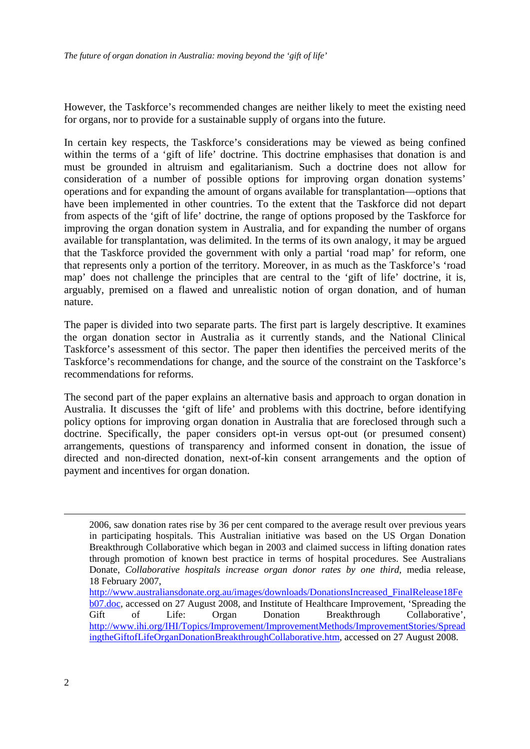However, the Taskforce's recommended changes are neither likely to meet the existing need for organs, nor to provide for a sustainable supply of organs into the future.

In certain key respects, the Taskforce's considerations may be viewed as being confined within the terms of a 'gift of life' doctrine. This doctrine emphasises that donation is and must be grounded in altruism and egalitarianism. Such a doctrine does not allow for consideration of a number of possible options for improving organ donation systems' operations and for expanding the amount of organs available for transplantation—options that have been implemented in other countries. To the extent that the Taskforce did not depart from aspects of the 'gift of life' doctrine, the range of options proposed by the Taskforce for improving the organ donation system in Australia, and for expanding the number of organs available for transplantation, was delimited. In the terms of its own analogy, it may be argued that the Taskforce provided the government with only a partial 'road map' for reform, one that represents only a portion of the territory. Moreover, in as much as the Taskforce's 'road map' does not challenge the principles that are central to the 'gift of life' doctrine, it is, arguably, premised on a flawed and unrealistic notion of organ donation, and of human nature.

The paper is divided into two separate parts. The first part is largely descriptive. It examines the organ donation sector in Australia as it currently stands, and the National Clinical Taskforce's assessment of this sector. The paper then identifies the perceived merits of the Taskforce's recommendations for change, and the source of the constraint on the Taskforce's recommendations for reforms.

The second part of the paper explains an alternative basis and approach to organ donation in Australia. It discusses the 'gift of life' and problems with this doctrine, before identifying policy options for improving organ donation in Australia that are foreclosed through such a doctrine. Specifically, the paper considers opt-in versus opt-out (or presumed consent) arrangements, questions of transparency and informed consent in donation, the issue of directed and non-directed donation, next-of-kin consent arrangements and the option of payment and incentives for organ donation.

<u>.</u>

<sup>2006,</sup> saw donation rates rise by 36 per cent compared to the average result over previous years in participating hospitals. This Australian initiative was based on the US Organ Donation Breakthrough Collaborative which began in 2003 and claimed success in lifting donation rates through promotion of known best practice in terms of hospital procedures. See Australians Donate, *Collaborative hospitals increase organ donor rates by one third*, media release, 18 February 2007,

[http://www.australiansdonate.org.au/images/downloads/DonationsIncreased\\_FinalRelease18Fe](http://www.australiansdonate.org.au/images/downloads/DonationsIncreased_FinalRelease18Feb07.doc) [b07.doc,](http://www.australiansdonate.org.au/images/downloads/DonationsIncreased_FinalRelease18Feb07.doc) accessed on 27 August 2008, and Institute of Healthcare Improvement, 'Spreading the Gift of Life: Organ Donation Breakthrough Collaborative', [http://www.ihi.org/IHI/Topics/Improvement/ImprovementMethods/ImprovementStories/Spread](http://www.ihi.org/IHI/Topics/Improvement/ImprovementMethods/ImprovementStories/SpreadingtheGiftofLifeOrganDonationBreakthroughCollaborative.htm) [ingtheGiftofLifeOrganDonationBreakthroughCollaborative.htm,](http://www.ihi.org/IHI/Topics/Improvement/ImprovementMethods/ImprovementStories/SpreadingtheGiftofLifeOrganDonationBreakthroughCollaborative.htm) accessed on 27 August 2008.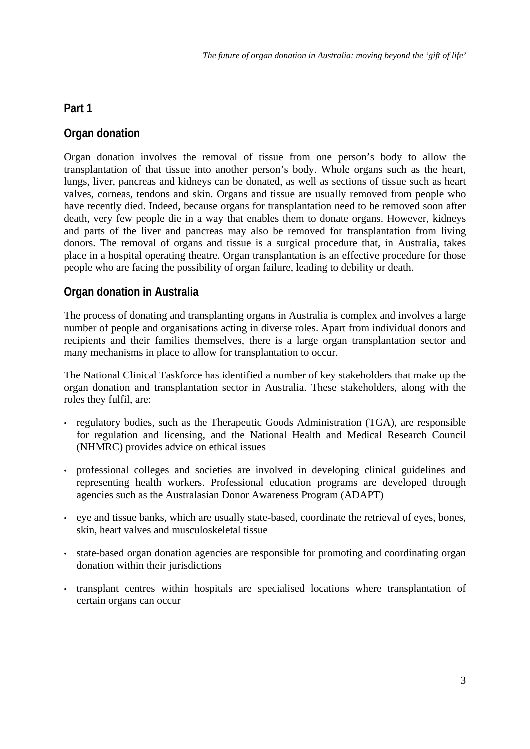# <span id="page-5-0"></span>**Part 1**

# **Organ donation**

Organ donation involves the removal of tissue from one person's body to allow the transplantation of that tissue into another person's body. Whole organs such as the heart, lungs, liver, pancreas and kidneys can be donated, as well as sections of tissue such as heart valves, corneas, tendons and skin. Organs and tissue are usually removed from people who have recently died. Indeed, because organs for transplantation need to be removed soon after death, very few people die in a way that enables them to donate organs. However, kidneys and parts of the liver and pancreas may also be removed for transplantation from living donors. The removal of organs and tissue is a surgical procedure that, in Australia, takes place in a hospital operating theatre. Organ transplantation is an effective procedure for those people who are facing the possibility of organ failure, leading to debility or death.

# **Organ donation in Australia**

The process of donating and transplanting organs in Australia is complex and involves a large number of people and organisations acting in diverse roles. Apart from individual donors and recipients and their families themselves, there is a large organ transplantation sector and many mechanisms in place to allow for transplantation to occur.

The National Clinical Taskforce has identified a number of key stakeholders that make up the organ donation and transplantation sector in Australia. These stakeholders, along with the roles they fulfil, are:

- regulatory bodies, such as the Therapeutic Goods Administration (TGA), are responsible for regulation and licensing, and the National Health and Medical Research Council (NHMRC) provides advice on ethical issues
- professional colleges and societies are involved in developing clinical guidelines and representing health workers. Professional education programs are developed through agencies such as the Australasian Donor Awareness Program (ADAPT)
- eye and tissue banks, which are usually state-based, coordinate the retrieval of eyes, bones, skin, heart valves and musculoskeletal tissue
- state-based organ donation agencies are responsible for promoting and coordinating organ donation within their jurisdictions
- transplant centres within hospitals are specialised locations where transplantation of certain organs can occur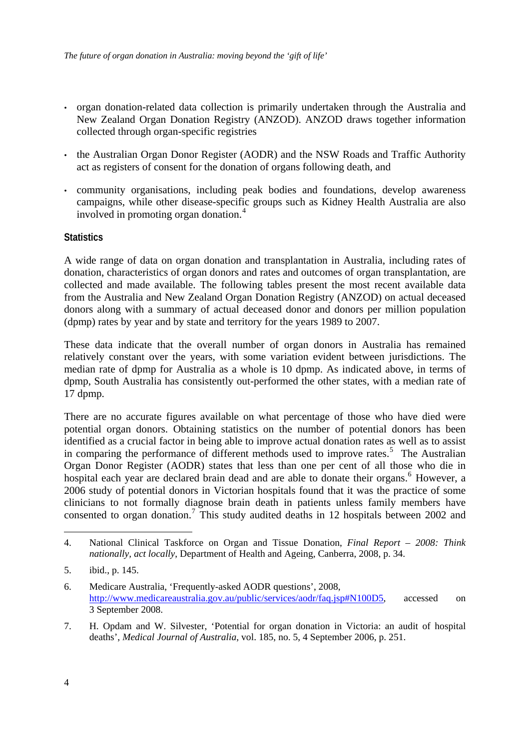- <span id="page-6-0"></span>• organ donation-related data collection is primarily undertaken through the Australia and New Zealand Organ Donation Registry (ANZOD). ANZOD draws together information collected through organ-specific registries
- the Australian Organ Donor Register (AODR) and the NSW Roads and Traffic Authority act as registers of consent for the donation of organs following death, and
- community organisations, including peak bodies and foundations, develop awareness campaigns, while other disease-specific groups such as Kidney Health Australia are also involved in promoting organ donation.[4](#page-6-1)

# **Statistics**

A wide range of data on organ donation and transplantation in Australia, including rates of donation, characteristics of organ donors and rates and outcomes of organ transplantation, are collected and made available. The following tables present the most recent available data from the Australia and New Zealand Organ Donation Registry (ANZOD) on actual deceased donors along with a summary of actual deceased donor and donors per million population (dpmp) rates by year and by state and territory for the years 1989 to 2007.

These data indicate that the overall number of organ donors in Australia has remained relatively constant over the years, with some variation evident between jurisdictions. The median rate of dpmp for Australia as a whole is 10 dpmp. As indicated above, in terms of dpmp, South Australia has consistently out-performed the other states, with a median rate of 17 dpmp.

There are no accurate figures available on what percentage of those who have died were potential organ donors. Obtaining statistics on the number of potential donors has been identified as a crucial factor in being able to improve actual donation rates as well as to assist in comparing the performance of different methods used to improve rates.<sup>[5](#page-6-2)</sup> The Australian Organ Donor Register (AODR) states that less than one per cent of all those who die in hospital each year are declared brain dead and are able to donate their organs.<sup>[6](#page-6-3)</sup> However, a 2006 study of potential donors in Victorian hospitals found that it was the practice of some clinicians to not formally diagnose brain death in patients unless family members have consented to organ donation.<sup>[7](#page-6-4)</sup> This study audited deaths in 12 hospitals between 2002 and

<span id="page-6-4"></span>7. H. Opdam and W. Silvester, 'Potential for organ donation in Victoria: an audit of hospital deaths', *Medical Journal of Australia*, vol. 185, no. 5, 4 September 2006, p. 251.

<span id="page-6-1"></span><sup>4.</sup> National Clinical Taskforce on Organ and Tissue Donation, *Final Report – 2008: Think nationally, act locally*, Department of Health and Ageing, Canberra, 2008, p. 34.

<span id="page-6-2"></span><sup>5.</sup> ibid., p. 145.

<span id="page-6-3"></span><sup>6.</sup> Medicare Australia, 'Frequently-asked AODR questions', 2008, [http://www.medicareaustralia.gov.au/public/services/aodr/faq.jsp#N100D5,](http://www.medicareaustralia.gov.au/public/services/aodr/faq.jsp#N100D5) accessed on 3 September 2008.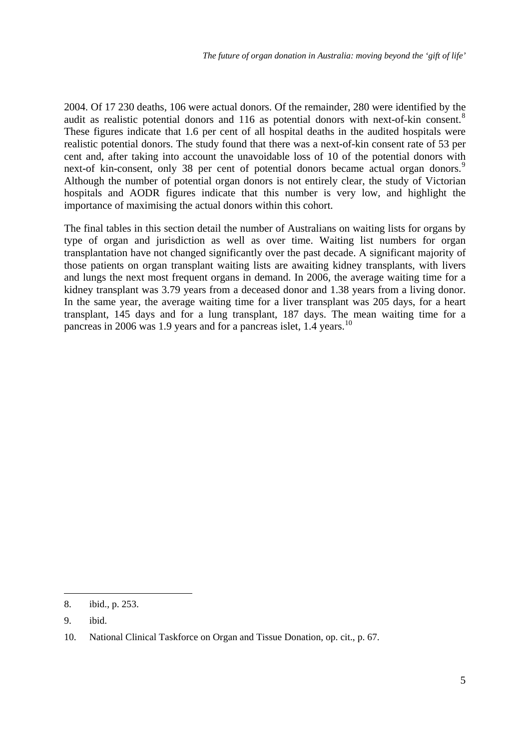2004. Of 17 230 deaths, 106 were actual donors. Of the remainder, 280 were identified by the audit as realistic potential donors and 116 as potential donors with next-of-kin consent.<sup>[8](#page-7-0)</sup> These figures indicate that 1.6 per cent of all hospital deaths in the audited hospitals were realistic potential donors. The study found that there was a next-of-kin consent rate of 53 per cent and, after taking into account the unavoidable loss of 10 of the potential donors with next-of kin-consent, only 38 per cent of potential donors became actual organ donors.<sup>[9](#page-7-1)</sup> Although the number of potential organ donors is not entirely clear, the study of Victorian hospitals and AODR figures indicate that this number is very low, and highlight the importance of maximising the actual donors within this cohort.

The final tables in this section detail the number of Australians on waiting lists for organs by type of organ and jurisdiction as well as over time. Waiting list numbers for organ transplantation have not changed significantly over the past decade. A significant majority of those patients on organ transplant waiting lists are awaiting kidney transplants, with livers and lungs the next most frequent organs in demand. In 2006, the average waiting time for a kidney transplant was 3.79 years from a deceased donor and 1.38 years from a living donor. In the same year, the average waiting time for a liver transplant was 205 days, for a heart transplant, 145 days and for a lung transplant, 187 days. The mean waiting time for a pancreas in 2006 was 1.9 years and for a pancreas islet, 1.4 years.<sup>[10](#page-7-2)</sup>

<u>.</u>

<span id="page-7-0"></span><sup>8.</sup> ibid., p. 253.

<span id="page-7-1"></span><sup>9.</sup> ibid.

<span id="page-7-2"></span><sup>10.</sup> National Clinical Taskforce on Organ and Tissue Donation, op. cit., p. 67.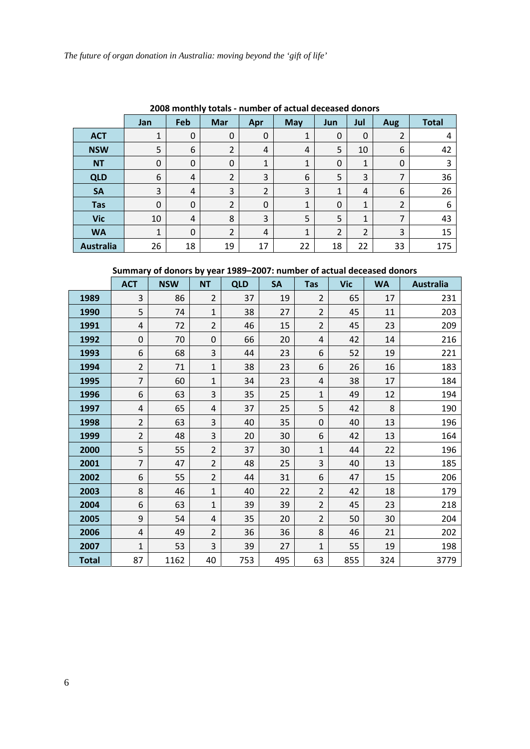|                  | <u> 2008 Montiny totals - number or actual deceased donors</u> |          |                |                |            |     |                |     |              |
|------------------|----------------------------------------------------------------|----------|----------------|----------------|------------|-----|----------------|-----|--------------|
|                  | <b>Jan</b>                                                     | Feb      | Mar            | Apr            | <b>May</b> | Jun | Jul            | Aug | <b>Total</b> |
| <b>ACT</b>       | 1                                                              | 0        | $\mathbf 0$    | 0              | 1          | 0   | 0              | 2   | 4            |
| <b>NSW</b>       | 5                                                              | 6        | 2              | 4              | 4          | 5   | 10             | 6   | 42           |
| <b>NT</b>        | 0                                                              | $\Omega$ | 0              | 1              | 1          | 0   | 1              | 0   | 3            |
| <b>QLD</b>       | 6                                                              | 4        | 2              | 3              | 6          | 5   | 3              | 7   | 36           |
| <b>SA</b>        | 3                                                              | 4        | 3              | $\overline{2}$ | 3          | 1   | 4              | 6   | 26           |
| <b>Tas</b>       | $\mathbf 0$                                                    | $\Omega$ | 2              | 0              | 1          | 0   | $\mathbf{1}$   | 2   | 6            |
| <b>Vic</b>       | 10                                                             | 4        | 8              | 3              | 5          | 5   | 1              | 7   | 43           |
| <b>WA</b>        | $\mathbf{1}$                                                   | $\Omega$ | $\overline{2}$ | 4              | 1          | 2   | $\overline{2}$ | 3   | 15           |
| <b>Australia</b> | 26                                                             | 18       | 19             | 17             | 22         | 18  | 22             | 33  | 175          |

**2008 monthly totals ‐ number of actual deceased donors**

# **Summary of donors by year 1989–2007: number of actual deceased donors**

|              | <b>ACT</b>     | <b>NSW</b> | <b>NT</b>      | <b>QLD</b> | <b>SA</b> | <b>Tas</b>     | <b>Vic</b> | <b>WA</b> | <b>Australia</b> |
|--------------|----------------|------------|----------------|------------|-----------|----------------|------------|-----------|------------------|
| 1989         | 3              | 86         | $\overline{2}$ | 37         | 19        | $\overline{2}$ | 65         | 17        | 231              |
| 1990         | 5              | 74         | $\mathbf{1}$   | 38         | 27        | $\overline{2}$ | 45         | 11        | 203              |
| 1991         | 4              | 72         | $\overline{2}$ | 46         | 15        | $\overline{2}$ | 45         | 23        | 209              |
| 1992         | 0              | 70         | 0              | 66         | 20        | 4              | 42         | 14        | 216              |
| 1993         | 6              | 68         | 3              | 44         | 23        | 6              | 52         | 19        | 221              |
| 1994         | $\overline{2}$ | 71         | $\mathbf{1}$   | 38         | 23        | 6              | 26         | 16        | 183              |
| 1995         | 7              | 60         | 1              | 34         | 23        | 4              | 38         | 17        | 184              |
| 1996         | 6              | 63         | 3              | 35         | 25        | $\mathbf{1}$   | 49         | 12        | 194              |
| 1997         | 4              | 65         | 4              | 37         | 25        | 5              | 42         | 8         | 190              |
| 1998         | $\overline{2}$ | 63         | 3              | 40         | 35        | $\mathbf 0$    | 40         | 13        | 196              |
| 1999         | $\overline{2}$ | 48         | 3              | 20         | 30        | 6              | 42         | 13        | 164              |
| 2000         | 5              | 55         | $\overline{2}$ | 37         | 30        | $\mathbf{1}$   | 44         | 22        | 196              |
| 2001         | 7              | 47         | $\overline{2}$ | 48         | 25        | 3              | 40         | 13        | 185              |
| 2002         | 6              | 55         | $\overline{2}$ | 44         | 31        | 6              | 47         | 15        | 206              |
| 2003         | 8              | 46         | $\mathbf{1}$   | 40         | 22        | $\overline{2}$ | 42         | 18        | 179              |
| 2004         | 6              | 63         | $\mathbf{1}$   | 39         | 39        | $\overline{2}$ | 45         | 23        | 218              |
| 2005         | 9              | 54         | 4              | 35         | 20        | $\overline{2}$ | 50         | 30        | 204              |
| 2006         | $\sqrt{4}$     | 49         | $\overline{2}$ | 36         | 36        | 8              | 46         | 21        | 202              |
| 2007         | $\mathbf{1}$   | 53         | 3              | 39         | 27        | 1              | 55         | 19        | 198              |
| <b>Total</b> | 87             | 1162       | 40             | 753        | 495       | 63             | 855        | 324       | 3779             |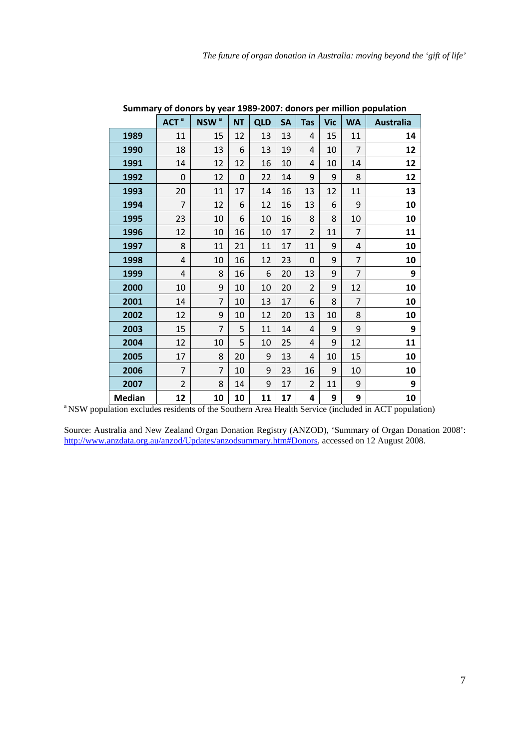|               | ACT <sup>a</sup> | NSW <sup>a</sup> | <b>NT</b> | <b>QLD</b> | <b>SA</b> | <b>Tas</b>     | <b>Vic</b> | <b>WA</b>      | <b>Australia</b> |
|---------------|------------------|------------------|-----------|------------|-----------|----------------|------------|----------------|------------------|
| 1989          | 11               | 15               | 12        | 13         | 13        | 4              | 15         | 11             | 14               |
| 1990          | 18               | 13               | 6         | 13         | 19        | 4              | 10         | $\overline{7}$ | 12               |
| 1991          | 14               | 12               | 12        | 16         | 10        | 4              | 10         | 14             | 12               |
| 1992          | 0                | 12               | 0         | 22         | 14        | 9              | 9          | 8              | 12               |
| 1993          | 20               | 11               | 17        | 14         | 16        | 13             | 12         | 11             | 13               |
| 1994          | $\overline{7}$   | 12               | 6         | 12         | 16        | 13             | 6          | 9              | 10               |
| 1995          | 23               | 10               | 6         | 10         | 16        | 8              | 8          | 10             | 10               |
| 1996          | 12               | 10               | 16        | 10         | 17        | $\overline{2}$ | 11         | 7              | 11               |
| 1997          | 8                | 11               | 21        | 11         | 17        | 11             | 9          | 4              | 10               |
| 1998          | 4                | 10               | 16        | 12         | 23        | $\mathbf 0$    | 9          | $\overline{7}$ | 10               |
| 1999          | 4                | 8                | 16        | 6          | 20        | 13             | 9          | $\overline{7}$ | 9                |
| 2000          | 10               | 9                | 10        | 10         | 20        | $\overline{2}$ | 9          | 12             | 10               |
| 2001          | 14               | 7                | 10        | 13         | 17        | 6              | 8          | $\overline{7}$ | 10               |
| 2002          | 12               | 9                | 10        | 12         | 20        | 13             | 10         | 8              | 10               |
| 2003          | 15               | $\overline{7}$   | 5         | 11         | 14        | 4              | 9          | 9              | 9                |
| 2004          | 12               | 10               | 5         | 10         | 25        | 4              | 9          | 12             | 11               |
| 2005          | 17               | 8                | 20        | 9          | 13        | 4              | 10         | 15             | 10               |
| 2006          | $\overline{7}$   | $\overline{7}$   | 10        | 9          | 23        | 16             | 9          | 10             | 10               |
| 2007          | $\overline{2}$   | 8                | 14        | 9          | 17        | 2              | 11         | 9              | 9                |
| <b>Median</b> | 12               | 10               | 10        | 11         | 17        | 4              | 9          | 9              | 10               |

**Summary of donors by year 1989‐2007: donors per million population**

<sup>a</sup> NSW population excludes residents of the Southern Area Health Service (included in ACT population)

Source: Australia and New Zealand Organ Donation Registry (ANZOD), 'Summary of Organ Donation 2008': [http://www.anzdata.org.au/anzod/Updates/anzodsummary.htm#Donors,](http://www.anzdata.org.au/anzod/Updates/anzodsummary.htm#Donors) accessed on 12 August 2008.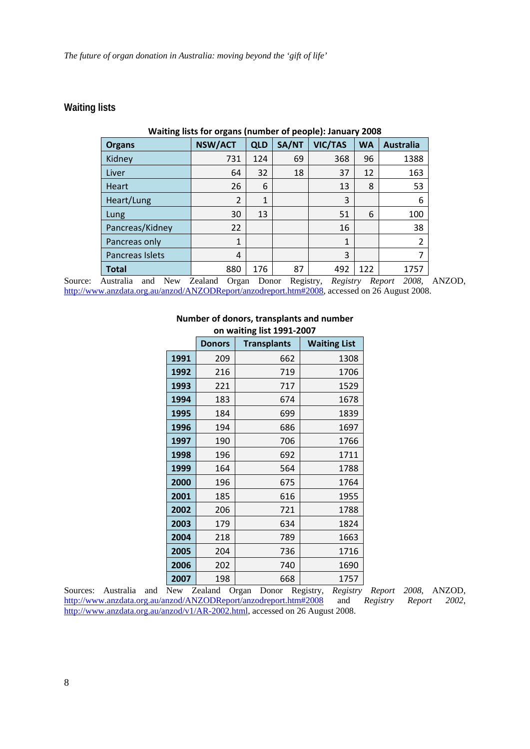### <span id="page-10-0"></span>**Waiting lists**

| o<br><b>Organs</b> | o<br><b>NSW/ACT</b> | <b>QLD</b> | SA/NT | VIC/TAS      | <b>WA</b> | <b>Australia</b> |
|--------------------|---------------------|------------|-------|--------------|-----------|------------------|
| Kidney             | 731                 | 124        | 69    | 368          | 96        | 1388             |
| Liver              | 64                  | 32         | 18    | 37           | 12        | 163              |
| <b>Heart</b>       | 26                  | 6          |       | 13           | 8         | 53               |
| Heart/Lung         | $\overline{2}$      | 1          |       | 3            |           | 6                |
| Lung               | 30                  | 13         |       | 51           | 6         | 100              |
| Pancreas/Kidney    | 22                  |            |       | 16           |           | 38               |
| Pancreas only      | $\mathbf{1}$        |            |       | $\mathbf{1}$ |           | 2                |
| Pancreas Islets    | 4                   |            |       | 3            |           |                  |
| <b>Total</b>       | 880                 | 176        | 87    | 492          | 122       | 1757             |

# **Waiting lists for organs (number of people): January 2008**

Source: Australia and New Zealand Organ Donor Registry, *Registry Report 2008*, ANZOD, [http://www.anzdata.org.au/anzod/ANZODReport/anzodreport.htm#2008,](http://www.anzdata.org.au/anzod/ANZODReport/anzodreport.htm#2008) accessed on 26 August 2008.

|      | <b>Donors</b> | <b>Transplants</b> | <b>Waiting List</b> |
|------|---------------|--------------------|---------------------|
| 1991 | 209           | 662                | 1308                |
| 1992 | 216           | 719                | 1706                |
| 1993 | 221           | 717                | 1529                |
| 1994 | 183           | 674                | 1678                |
| 1995 | 184           | 699                | 1839                |
| 1996 | 194           | 686                | 1697                |
| 1997 | 190           | 706                | 1766                |
| 1998 | 196           | 692                | 1711                |
| 1999 | 164           | 564                | 1788                |
| 2000 | 196           | 675                | 1764                |
| 2001 | 185           | 616                | 1955                |
| 2002 | 206           | 721                | 1788                |
| 2003 | 179           | 634                | 1824                |
| 2004 | 218           | 789                | 1663                |
| 2005 | 204           | 736                | 1716                |
| 2006 | 202           | 740                | 1690                |
| 2007 | 198           | 668                | 1757                |

#### **Number of donors, transplants and number on waiting list 1991‐2007**

Sources: Australia and New Zealand Organ Donor Registry, *Registry Report 2008*, ANZOD, <http://www.anzdata.org.au/anzod/ANZODReport/anzodreport.htm#2008>and *Registry Report 2002*, [http://www.anzdata.org.au/anzod/v1/AR-2002.html,](http://www.anzdata.org.au/anzod/v1/AR-2002.html) accessed on 26 August 2008.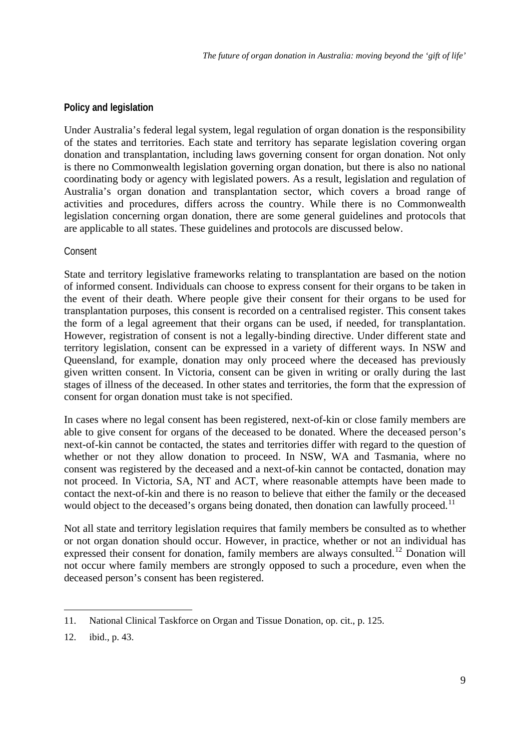# <span id="page-11-0"></span>**Policy and legislation**

Under Australia's federal legal system, legal regulation of organ donation is the responsibility of the states and territories. Each state and territory has separate legislation covering organ donation and transplantation, including laws governing consent for organ donation. Not only is there no Commonwealth legislation governing organ donation, but there is also no national coordinating body or agency with legislated powers. As a result, legislation and regulation of Australia's organ donation and transplantation sector, which covers a broad range of activities and procedures, differs across the country. While there is no Commonwealth legislation concerning organ donation, there are some general guidelines and protocols that are applicable to all states. These guidelines and protocols are discussed below.

### Consent

State and territory legislative frameworks relating to transplantation are based on the notion of informed consent. Individuals can choose to express consent for their organs to be taken in the event of their death. Where people give their consent for their organs to be used for transplantation purposes, this consent is recorded on a centralised register. This consent takes the form of a legal agreement that their organs can be used, if needed, for transplantation. However, registration of consent is not a legally-binding directive. Under different state and territory legislation, consent can be expressed in a variety of different ways. In NSW and Queensland, for example, donation may only proceed where the deceased has previously given written consent. In Victoria, consent can be given in writing or orally during the last stages of illness of the deceased. In other states and territories, the form that the expression of consent for organ donation must take is not specified.

In cases where no legal consent has been registered, next-of-kin or close family members are able to give consent for organs of the deceased to be donated. Where the deceased person's next-of-kin cannot be contacted, the states and territories differ with regard to the question of whether or not they allow donation to proceed. In NSW, WA and Tasmania, where no consent was registered by the deceased and a next-of-kin cannot be contacted, donation may not proceed. In Victoria, SA, NT and ACT, where reasonable attempts have been made to contact the next-of-kin and there is no reason to believe that either the family or the deceased would object to the deceased's organs being donated, then donation can lawfully proceed.<sup>[11](#page-11-1)</sup>

Not all state and territory legislation requires that family members be consulted as to whether or not organ donation should occur. However, in practice, whether or not an individual has expressed their consent for donation, family members are always consulted.<sup>[12](#page-11-2)</sup> Donation will not occur where family members are strongly opposed to such a procedure, even when the deceased person's consent has been registered.

<span id="page-11-1"></span><sup>11.</sup> National Clinical Taskforce on Organ and Tissue Donation, op. cit., p. 125.

<span id="page-11-2"></span><sup>12.</sup> ibid., p. 43.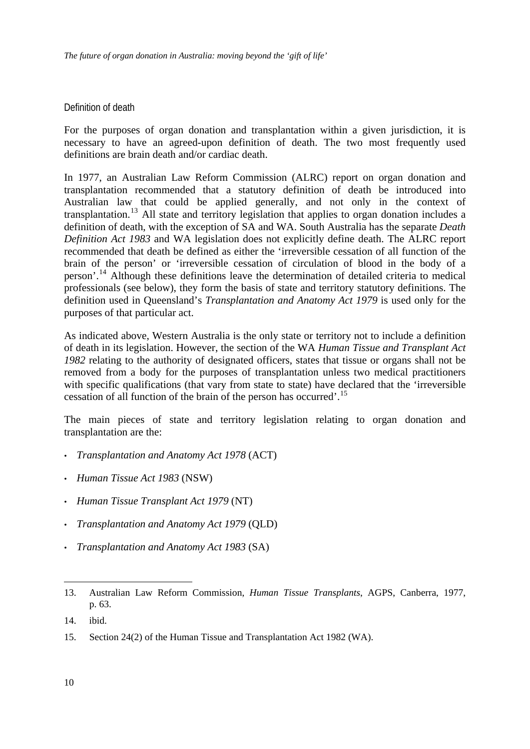### <span id="page-12-0"></span>Definition of death

For the purposes of organ donation and transplantation within a given jurisdiction, it is necessary to have an agreed-upon definition of death. The two most frequently used definitions are brain death and/or cardiac death.

In 1977, an Australian Law Reform Commission (ALRC) report on organ donation and transplantation recommended that a statutory definition of death be introduced into Australian law that could be applied generally, and not only in the context of transplantation.[13](#page-12-1) All state and territory legislation that applies to organ donation includes a definition of death, with the exception of SA and WA. South Australia has the separate *Death Definition Act 1983* and WA legislation does not explicitly define death. The ALRC report recommended that death be defined as either the 'irreversible cessation of all function of the brain of the person' or 'irreversible cessation of circulation of blood in the body of a person'.[14](#page-12-2) Although these definitions leave the determination of detailed criteria to medical professionals (see below), they form the basis of state and territory statutory definitions. The definition used in Queensland's *Transplantation and Anatomy Act 1979* is used only for the purposes of that particular act.

As indicated above, Western Australia is the only state or territory not to include a definition of death in its legislation. However, the section of the WA *Human Tissue and Transplant Act 1982* relating to the authority of designated officers, states that tissue or organs shall not be removed from a body for the purposes of transplantation unless two medical practitioners with specific qualifications (that vary from state to state) have declared that the 'irreversible cessation of all function of the brain of the person has occurred'.[15](#page-12-3)

The main pieces of state and territory legislation relating to organ donation and transplantation are the:

- *Transplantation and Anatomy Act 1978* (ACT)
- *Human Tissue Act 1983* (NSW)
- *Human Tissue Transplant Act 1979* (NT)
- *Transplantation and Anatomy Act 1979* (QLD)
- *Transplantation and Anatomy Act 1983* (SA)

<span id="page-12-1"></span><sup>13.</sup> Australian Law Reform Commission, *Human Tissue Transplants*, AGPS, Canberra, 1977, p. 63.

<span id="page-12-2"></span><sup>14.</sup> ibid.

<span id="page-12-3"></span><sup>15.</sup> Section 24(2) of the Human Tissue and Transplantation Act 1982 (WA).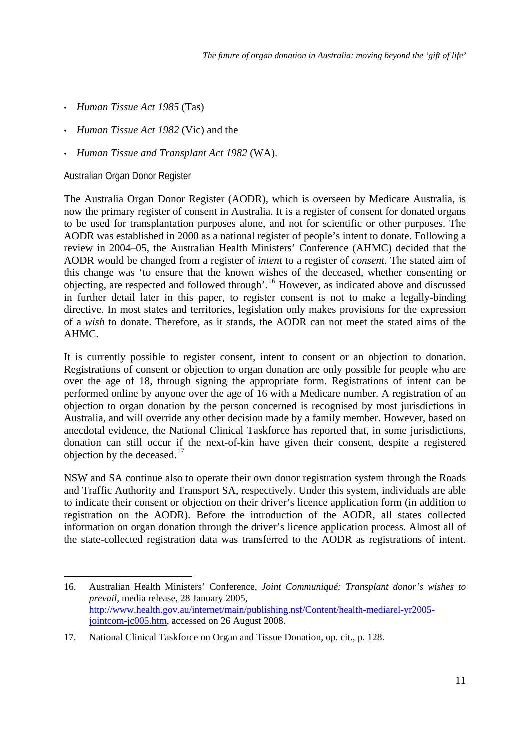- <span id="page-13-0"></span>• *Human Tissue Act 1985* (Tas)
- *Human Tissue Act 1982* (Vic) and the
- *Human Tissue and Transplant Act 1982* (WA).

Australian Organ Donor Register

The Australia Organ Donor Register (AODR), which is overseen by Medicare Australia, is now the primary register of consent in Australia. It is a register of consent for donated organs to be used for transplantation purposes alone, and not for scientific or other purposes. The AODR was established in 2000 as a national register of people's intent to donate. Following a review in 2004–05, the Australian Health Ministers' Conference (AHMC) decided that the AODR would be changed from a register of *intent* to a register of *consent*. The stated aim of this change was 'to ensure that the known wishes of the deceased, whether consenting or objecting, are respected and followed through'.[16](#page-13-1) However, as indicated above and discussed in further detail later in this paper, to register consent is not to make a legally-binding directive. In most states and territories, legislation only makes provisions for the expression of a *wish* to donate. Therefore, as it stands, the AODR can not meet the stated aims of the AHMC.

It is currently possible to register consent, intent to consent or an objection to donation. Registrations of consent or objection to organ donation are only possible for people who are over the age of 18, through signing the appropriate form. Registrations of intent can be performed online by anyone over the age of 16 with a Medicare number. A registration of an objection to organ donation by the person concerned is recognised by most jurisdictions in Australia, and will override any other decision made by a family member. However, based on anecdotal evidence, the National Clinical Taskforce has reported that, in some jurisdictions, donation can still occur if the next-of-kin have given their consent, despite a registered objection by the deceased.<sup>[17](#page-13-2)</sup>

NSW and SA continue also to operate their own donor registration system through the Roads and Traffic Authority and Transport SA, respectively. Under this system, individuals are able to indicate their consent or objection on their driver's licence application form (in addition to registration on the AODR). Before the introduction of the AODR, all states collected information on organ donation through the driver's licence application process. Almost all of the state-collected registration data was transferred to the AODR as registrations of intent.

<span id="page-13-1"></span><sup>1</sup> 16. Australian Health Ministers' Conference, *Joint Communiqué: Transplant donor's wishes to prevail*, media release, 28 January 2005, [http://www.health.gov.au/internet/main/publishing.nsf/Content/health-mediarel-yr2005](http://www.health.gov.au/internet/main/publishing.nsf/Content/health-mediarel-yr2005-jointcom-jc005.htm) [jointcom-jc005.htm,](http://www.health.gov.au/internet/main/publishing.nsf/Content/health-mediarel-yr2005-jointcom-jc005.htm) accessed on 26 August 2008.

<span id="page-13-2"></span><sup>17.</sup> National Clinical Taskforce on Organ and Tissue Donation, op. cit., p. 128.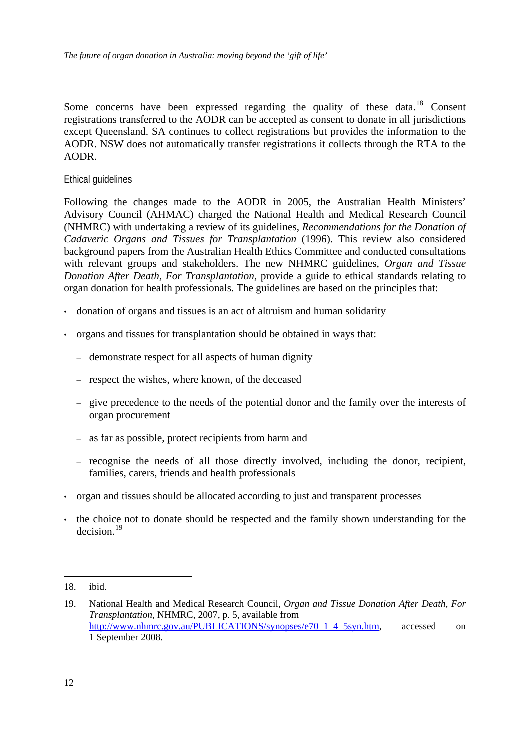<span id="page-14-0"></span>Some concerns have been expressed regarding the quality of these data.<sup>[18](#page-14-1)</sup> Consent registrations transferred to the AODR can be accepted as consent to donate in all jurisdictions except Queensland. SA continues to collect registrations but provides the information to the AODR. NSW does not automatically transfer registrations it collects through the RTA to the AODR.

#### Ethical guidelines

Following the changes made to the AODR in 2005, the Australian Health Ministers' Advisory Council (AHMAC) charged the National Health and Medical Research Council (NHMRC) with undertaking a review of its guidelines, *Recommendations for the Donation of Cadaveric Organs and Tissues for Transplantation* (1996). This review also considered background papers from the Australian Health Ethics Committee and conducted consultations with relevant groups and stakeholders. The new NHMRC guidelines, *Organ and Tissue Donation After Death, For Transplantation*, provide a guide to ethical standards relating to organ donation for health professionals. The guidelines are based on the principles that:

- donation of organs and tissues is an act of altruism and human solidarity
- organs and tissues for transplantation should be obtained in ways that:
	- demonstrate respect for all aspects of human dignity
	- respect the wishes, where known, of the deceased
	- give precedence to the needs of the potential donor and the family over the interests of organ procurement
	- as far as possible, protect recipients from harm and
	- recognise the needs of all those directly involved, including the donor, recipient, families, carers, friends and health professionals
- organ and tissues should be allocated according to just and transparent processes
- the choice not to donate should be respected and the family shown understanding for the decision.[19](#page-14-2)

<span id="page-14-1"></span><sup>18.</sup> ibid.

<span id="page-14-2"></span><sup>19.</sup> National Health and Medical Research Council, *Organ and Tissue Donation After Death, For Transplantation*, NHMRC, 2007, p. 5, available from [http://www.nhmrc.gov.au/PUBLICATIONS/synopses/e70\\_1\\_4\\_5syn.htm](http://www.nhmrc.gov.au/PUBLICATIONS/synopses/e70_1_4_5syn.htm), accessed on 1 September 2008.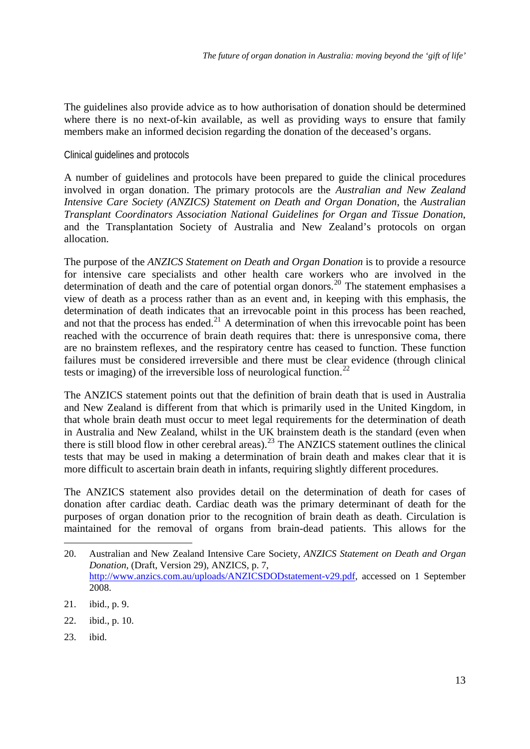<span id="page-15-0"></span>The guidelines also provide advice as to how authorisation of donation should be determined where there is no next-of-kin available, as well as providing ways to ensure that family members make an informed decision regarding the donation of the deceased's organs.

Clinical guidelines and protocols

A number of guidelines and protocols have been prepared to guide the clinical procedures involved in organ donation. The primary protocols are the *Australian and New Zealand Intensive Care Society (ANZICS) Statement on Death and Organ Donation*, the *Australian Transplant Coordinators Association National Guidelines for Organ and Tissue Donation*, and the Transplantation Society of Australia and New Zealand's protocols on organ allocation.

The purpose of the *ANZICS Statement on Death and Organ Donation* is to provide a resource for intensive care specialists and other health care workers who are involved in the determination of death and the care of potential organ donors.<sup>[20](#page-15-1)</sup> The statement emphasises a view of death as a process rather than as an event and, in keeping with this emphasis, the determination of death indicates that an irrevocable point in this process has been reached, and not that the process has ended.<sup>[21](#page-15-2)</sup> A determination of when this irrevocable point has been reached with the occurrence of brain death requires that: there is unresponsive coma, there are no brainstem reflexes, and the respiratory centre has ceased to function. These function failures must be considered irreversible and there must be clear evidence (through clinical tests or imaging) of the irreversible loss of neurological function.<sup>[22](#page-15-3)</sup>

The ANZICS statement points out that the definition of brain death that is used in Australia and New Zealand is different from that which is primarily used in the United Kingdom, in that whole brain death must occur to meet legal requirements for the determination of death in Australia and New Zealand, whilst in the UK brainstem death is the standard (even when there is still blood flow in other cerebral areas).<sup>[23](#page-15-4)</sup> The ANZICS statement outlines the clinical tests that may be used in making a determination of brain death and makes clear that it is more difficult to ascertain brain death in infants, requiring slightly different procedures.

The ANZICS statement also provides detail on the determination of death for cases of donation after cardiac death. Cardiac death was the primary determinant of death for the purposes of organ donation prior to the recognition of brain death as death. Circulation is maintained for the removal of organs from brain-dead patients. This allows for the

- <span id="page-15-3"></span>22. ibid., p. 10.
- <span id="page-15-4"></span>23. ibid.

<u>.</u>

<span id="page-15-1"></span><sup>20.</sup> Australian and New Zealand Intensive Care Society, *ANZICS Statement on Death and Organ Donation*, (Draft, Version 29), ANZICS, p. 7, <http://www.anzics.com.au/uploads/ANZICSDODstatement-v29.pdf>, accessed on 1 September 2008.

<span id="page-15-2"></span><sup>21.</sup> ibid., p. 9.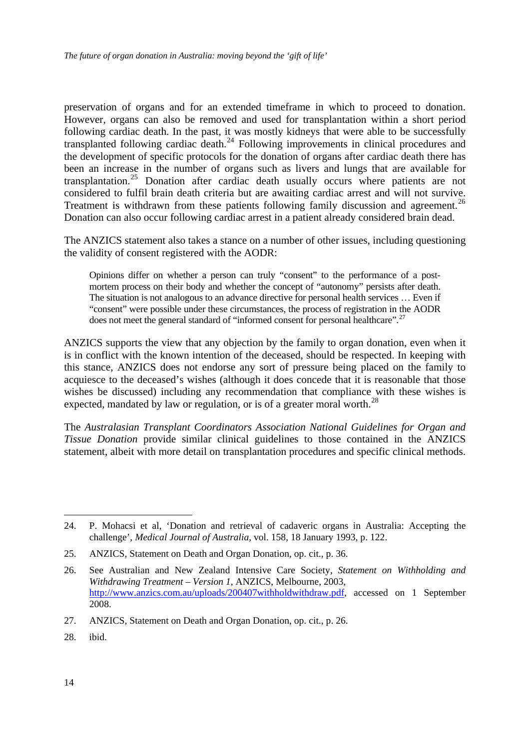preservation of organs and for an extended timeframe in which to proceed to donation. However, organs can also be removed and used for transplantation within a short period following cardiac death. In the past, it was mostly kidneys that were able to be successfully transplanted following cardiac death.<sup>[24](#page-16-0)</sup> Following improvements in clinical procedures and the development of specific protocols for the donation of organs after cardiac death there has been an increase in the number of organs such as livers and lungs that are available for transplantation.<sup>[25](#page-16-1)</sup> Donation after cardiac death usually occurs where patients are not considered to fulfil brain death criteria but are awaiting cardiac arrest and will not survive. Treatment is withdrawn from these patients following family discussion and agreement.<sup>[26](#page-16-2)</sup> Donation can also occur following cardiac arrest in a patient already considered brain dead.

The ANZICS statement also takes a stance on a number of other issues, including questioning the validity of consent registered with the AODR:

Opinions differ on whether a person can truly "consent" to the performance of a postmortem process on their body and whether the concept of "autonomy" persists after death. The situation is not analogous to an advance directive for personal health services … Even if "consent" were possible under these circumstances, the process of registration in the AODR does not meet the general standard of "informed consent for personal healthcare".<sup>[27](#page-16-3)</sup>

ANZICS supports the view that any objection by the family to organ donation, even when it is in conflict with the known intention of the deceased, should be respected. In keeping with this stance, ANZICS does not endorse any sort of pressure being placed on the family to acquiesce to the deceased's wishes (although it does concede that it is reasonable that those wishes be discussed) including any recommendation that compliance with these wishes is expected, mandated by law or regulation, or is of a greater moral worth.<sup>[28](#page-16-4)</sup>

The *Australasian Transplant Coordinators Association National Guidelines for Organ and Tissue Donation* provide similar clinical guidelines to those contained in the ANZICS statement, albeit with more detail on transplantation procedures and specific clinical methods.

<span id="page-16-4"></span>28. ibid.

<span id="page-16-0"></span><sup>24.</sup> P. Mohacsi et al, 'Donation and retrieval of cadaveric organs in Australia: Accepting the challenge', *Medical Journal of Australia*, vol. 158, 18 January 1993, p. 122.

<span id="page-16-1"></span><sup>25.</sup> ANZICS, Statement on Death and Organ Donation, op. cit., p. 36.

<span id="page-16-2"></span><sup>26.</sup> See Australian and New Zealand Intensive Care Society, *Statement on Withholding and Withdrawing Treatment – Version 1*, ANZICS, Melbourne, 2003, [http://www.anzics.com.au/uploads/200407withholdwithdraw.pdf,](http://www.anzics.com.au/uploads/200407withholdwithdraw.pdf) accessed on 1 September 2008.

<span id="page-16-3"></span><sup>27.</sup> ANZICS, Statement on Death and Organ Donation, op. cit., p. 26.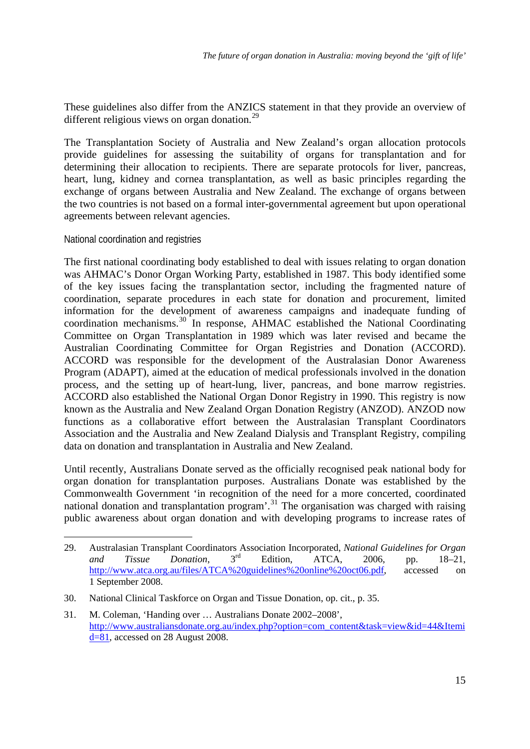<span id="page-17-0"></span>These guidelines also differ from the ANZICS statement in that they provide an overview of different religious views on organ donation.<sup>[29](#page-17-1)</sup>

The Transplantation Society of Australia and New Zealand's organ allocation protocols provide guidelines for assessing the suitability of organs for transplantation and for determining their allocation to recipients. There are separate protocols for liver, pancreas, heart, lung, kidney and cornea transplantation, as well as basic principles regarding the exchange of organs between Australia and New Zealand. The exchange of organs between the two countries is not based on a formal inter-governmental agreement but upon operational agreements between relevant agencies.

National coordination and registries

1

The first national coordinating body established to deal with issues relating to organ donation was AHMAC's Donor Organ Working Party, established in 1987. This body identified some of the key issues facing the transplantation sector, including the fragmented nature of coordination, separate procedures in each state for donation and procurement, limited information for the development of awareness campaigns and inadequate funding of coordination mechanisms.<sup>[30](#page-17-2)</sup> In response, AHMAC established the National Coordinating Committee on Organ Transplantation in 1989 which was later revised and became the Australian Coordinating Committee for Organ Registries and Donation (ACCORD). ACCORD was responsible for the development of the Australasian Donor Awareness Program (ADAPT), aimed at the education of medical professionals involved in the donation process, and the setting up of heart-lung, liver, pancreas, and bone marrow registries. ACCORD also established the National Organ Donor Registry in 1990. This registry is now known as the Australia and New Zealand Organ Donation Registry (ANZOD). ANZOD now functions as a collaborative effort between the Australasian Transplant Coordinators Association and the Australia and New Zealand Dialysis and Transplant Registry, compiling data on donation and transplantation in Australia and New Zealand.

Until recently, Australians Donate served as the officially recognised peak national body for organ donation for transplantation purposes. Australians Donate was established by the Commonwealth Government 'in recognition of the need for a more concerted, coordinated national donation and transplantation program'.<sup>[31](#page-17-3)</sup> The organisation was charged with raising public awareness about organ donation and with developing programs to increase rates of

<span id="page-17-1"></span><sup>29.</sup> Australasian Transplant Coordinators Association Incorporated, *National Guidelines for Organ and Tissue Donation*, 3rd Edition, ATCA, 2006, pp. 18–21, [http://www.atca.org.au/files/ATCA%20guidelines%20online%20oct06.pdf,](http://www.atca.org.au/files/ATCA%20guidelines%20online%20oct06.pdf) accessed on 1 September 2008.

<span id="page-17-2"></span><sup>30.</sup> National Clinical Taskforce on Organ and Tissue Donation, op. cit., p. 35.

<span id="page-17-3"></span><sup>31.</sup> M. Coleman, 'Handing over … Australians Donate 2002–2008', [http://www.australiansdonate.org.au/index.php?option=com\\_content&task=view&id=44&Itemi](http://www.australiansdonate.org.au/index.php?option=com_content&task=view&id=44&Itemid=81) [d=81](http://www.australiansdonate.org.au/index.php?option=com_content&task=view&id=44&Itemid=81), accessed on 28 August 2008.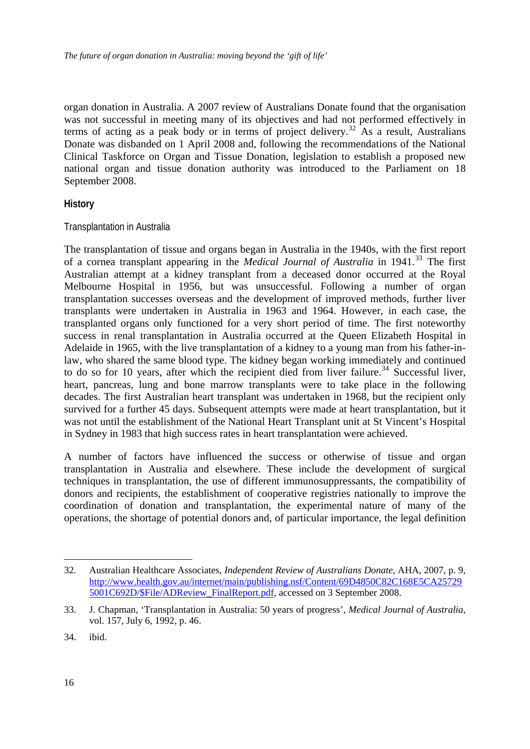<span id="page-18-0"></span>organ donation in Australia. A 2007 review of Australians Donate found that the organisation was not successful in meeting many of its objectives and had not performed effectively in terms of acting as a peak body or in terms of project delivery.<sup>[32](#page-18-1)</sup> As a result, Australians Donate was disbanded on 1 April 2008 and, following the recommendations of the National Clinical Taskforce on Organ and Tissue Donation, legislation to establish a proposed new national organ and tissue donation authority was introduced to the Parliament on 18 September 2008.

### **History**

### Transplantation in Australia

The transplantation of tissue and organs began in Australia in the 1940s, with the first report of a cornea transplant appearing in the *Medical Journal of Australia* in 1941.<sup>[33](#page-18-2)</sup> The first Australian attempt at a kidney transplant from a deceased donor occurred at the Royal Melbourne Hospital in 1956, but was unsuccessful. Following a number of organ transplantation successes overseas and the development of improved methods, further liver transplants were undertaken in Australia in 1963 and 1964. However, in each case, the transplanted organs only functioned for a very short period of time. The first noteworthy success in renal transplantation in Australia occurred at the Queen Elizabeth Hospital in Adelaide in 1965, with the live transplantation of a kidney to a young man from his father-inlaw, who shared the same blood type. The kidney began working immediately and continued to do so for 10 years, after which the recipient died from liver failure.<sup>[34](#page-18-3)</sup> Successful liver, heart, pancreas, lung and bone marrow transplants were to take place in the following decades. The first Australian heart transplant was undertaken in 1968, but the recipient only survived for a further 45 days. Subsequent attempts were made at heart transplantation, but it was not until the establishment of the National Heart Transplant unit at St Vincent's Hospital in Sydney in 1983 that high success rates in heart transplantation were achieved.

A number of factors have influenced the success or otherwise of tissue and organ transplantation in Australia and elsewhere. These include the development of surgical techniques in transplantation, the use of different immunosuppressants, the compatibility of donors and recipients, the establishment of cooperative registries nationally to improve the coordination of donation and transplantation, the experimental nature of many of the operations, the shortage of potential donors and, of particular importance, the legal definition

<span id="page-18-1"></span><sup>32.</sup> Australian Healthcare Associates, *Independent Review of Australians Donate*, AHA, 2007, p. 9, [http://www.health.gov.au/internet/main/publishing.nsf/Content/69D4850C82C168E5CA25729](http://www.health.gov.au/internet/main/publishing.nsf/Content/69D4850C82C168E5CA257295001C692D/$File/ADReview_FinalReport.pdf) [5001C692D/\\$File/ADReview\\_FinalReport.pdf,](http://www.health.gov.au/internet/main/publishing.nsf/Content/69D4850C82C168E5CA257295001C692D/$File/ADReview_FinalReport.pdf) accessed on 3 September 2008.

<span id="page-18-2"></span><sup>33.</sup> J. Chapman, 'Transplantation in Australia: 50 years of progress', *Medical Journal of Australia*, vol. 157, July 6, 1992, p. 46.

<span id="page-18-3"></span><sup>34.</sup> ibid.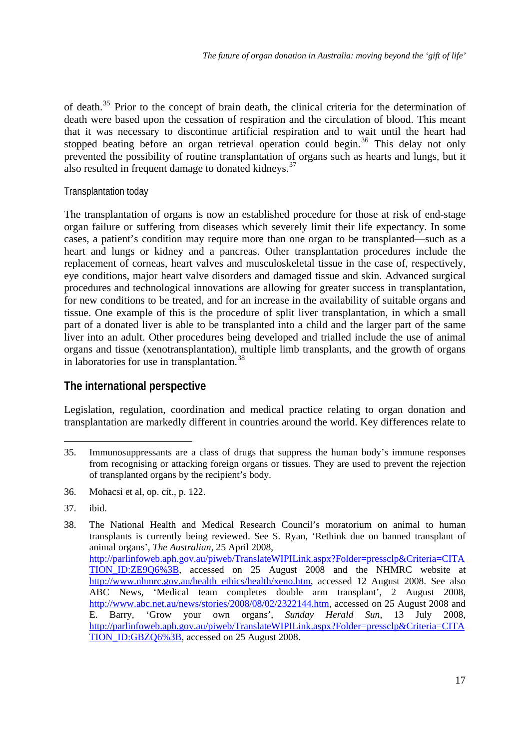<span id="page-19-0"></span>of death.<sup>[35](#page-19-1)</sup> Prior to the concept of brain death, the clinical criteria for the determination of death were based upon the cessation of respiration and the circulation of blood. This meant that it was necessary to discontinue artificial respiration and to wait until the heart had stopped beating before an organ retrieval operation could begin.<sup>[36](#page-19-2)</sup> This delay not only prevented the possibility of routine transplantation of organs such as hearts and lungs, but it also resulted in frequent damage to donated kidneys.<sup>[37](#page-19-3)</sup>

# Transplantation today

The transplantation of organs is now an established procedure for those at risk of end-stage organ failure or suffering from diseases which severely limit their life expectancy. In some cases, a patient's condition may require more than one organ to be transplanted—such as a heart and lungs or kidney and a pancreas. Other transplantation procedures include the replacement of corneas, heart valves and musculoskeletal tissue in the case of, respectively, eye conditions, major heart valve disorders and damaged tissue and skin. Advanced surgical procedures and technological innovations are allowing for greater success in transplantation, for new conditions to be treated, and for an increase in the availability of suitable organs and tissue. One example of this is the procedure of split liver transplantation, in which a small part of a donated liver is able to be transplanted into a child and the larger part of the same liver into an adult. Other procedures being developed and trialled include the use of animal organs and tissue (xenotransplantation), multiple limb transplants, and the growth of organs in laboratories for use in transplantation.<sup>[38](#page-19-4)</sup>

# **The international perspective**

Legislation, regulation, coordination and medical practice relating to organ donation and transplantation are markedly different in countries around the world. Key differences relate to

<span id="page-19-1"></span><sup>1</sup> 35. Immunosuppressants are a class of drugs that suppress the human body's immune responses from recognising or attacking foreign organs or tissues. They are used to prevent the rejection of transplanted organs by the recipient's body.

<span id="page-19-2"></span><sup>36.</sup> Mohacsi et al, op. cit., p. 122.

<span id="page-19-3"></span><sup>37.</sup> ibid.

<span id="page-19-4"></span><sup>38.</sup> The National Health and Medical Research Council's moratorium on animal to human transplants is currently being reviewed. See S. Ryan, 'Rethink due on banned transplant of animal organs', *The Australian*, 25 April 2008, [http://parlinfoweb.aph.gov.au/piweb/TranslateWIPILink.aspx?Folder=pressclp&Criteria=CITA](http://parlinfoweb.aph.gov.au/piweb/TranslateWIPILink.aspx?Folder=pressclp&Criteria=CITATION_ID:ZE9Q6%3B) [TION\\_ID:ZE9Q6%3B](http://parlinfoweb.aph.gov.au/piweb/TranslateWIPILink.aspx?Folder=pressclp&Criteria=CITATION_ID:ZE9Q6%3B), accessed on 25 August 2008 and the NHMRC website at [http://www.nhmrc.gov.au/health\\_ethics/health/xeno.htm](http://www.nhmrc.gov.au/health_ethics/health/xeno.htm), accessed 12 August 2008. See also ABC News, 'Medical team completes double arm transplant', 2 August 2008, [http://www.abc.net.au/news/stories/2008/08/02/2322144.htm,](http://www.abc.net.au/news/stories/2008/08/02/2322144.htm) accessed on 25 August 2008 and E. Barry, 'Grow your own organs', *Sunday Herald Sun*, 13 July 2008, [http://parlinfoweb.aph.gov.au/piweb/TranslateWIPILink.aspx?Folder=pressclp&Criteria=CITA](http://parlinfoweb.aph.gov.au/piweb/TranslateWIPILink.aspx?Folder=pressclp&Criteria=CITATION_ID:GBZQ6%3B) TION ID:GBZQ6%3B, accessed on 25 August 2008.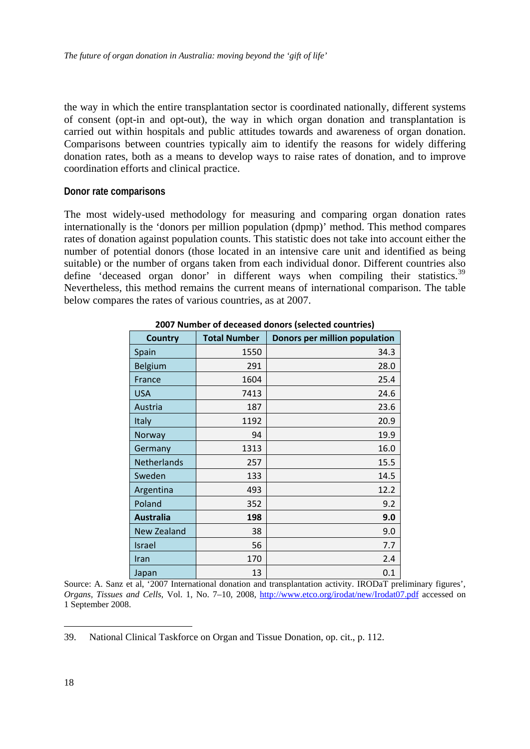<span id="page-20-0"></span>the way in which the entire transplantation sector is coordinated nationally, different systems of consent (opt-in and opt-out), the way in which organ donation and transplantation is carried out within hospitals and public attitudes towards and awareness of organ donation. Comparisons between countries typically aim to identify the reasons for widely differing donation rates, both as a means to develop ways to raise rates of donation, and to improve coordination efforts and clinical practice.

#### **Donor rate comparisons**

The most widely-used methodology for measuring and comparing organ donation rates internationally is the 'donors per million population (dpmp)' method. This method compares rates of donation against population counts. This statistic does not take into account either the number of potential donors (those located in an intensive care unit and identified as being suitable) or the number of organs taken from each individual donor. Different countries also define 'deceased organ donor' in different ways when compiling their statistics. $39$ Nevertheless, this method remains the current means of international comparison. The table below compares the rates of various countries, as at 2007.

| <b>Country</b>     | <b>Total Number</b> | ------ <sub>l</sub> ------- ----------<br>Donors per million population |
|--------------------|---------------------|-------------------------------------------------------------------------|
| Spain              | 1550                | 34.3                                                                    |
| Belgium            | 291                 | 28.0                                                                    |
| France             | 1604                | 25.4                                                                    |
| <b>USA</b>         | 7413                | 24.6                                                                    |
| Austria            | 187                 | 23.6                                                                    |
| Italy              | 1192                | 20.9                                                                    |
| Norway             | 94                  | 19.9                                                                    |
| Germany            | 1313                | 16.0                                                                    |
| <b>Netherlands</b> | 257                 | 15.5                                                                    |
| Sweden             | 133                 | 14.5                                                                    |
| Argentina          | 493                 | 12.2                                                                    |
| Poland             | 352                 | 9.2                                                                     |
| <b>Australia</b>   | 198                 | 9.0                                                                     |
| <b>New Zealand</b> | 38                  | 9.0                                                                     |
| Israel             | 56                  | 7.7                                                                     |
| Iran               | 170                 | 2.4                                                                     |
| Japan              | 13                  | 0.1                                                                     |

#### **2007 Number of deceased donors (selected countries)**

Source: A. Sanz et al, '2007 International donation and transplantation activity. IRODaT preliminary figures', *Organs, Tissues and Cells*, Vol. 1, No. 7–10, 2008, <http://www.etco.org/irodat/new/Irodat07.pdf>accessed on 1 September 2008.

<span id="page-20-1"></span><sup>39.</sup> National Clinical Taskforce on Organ and Tissue Donation, op. cit., p. 112.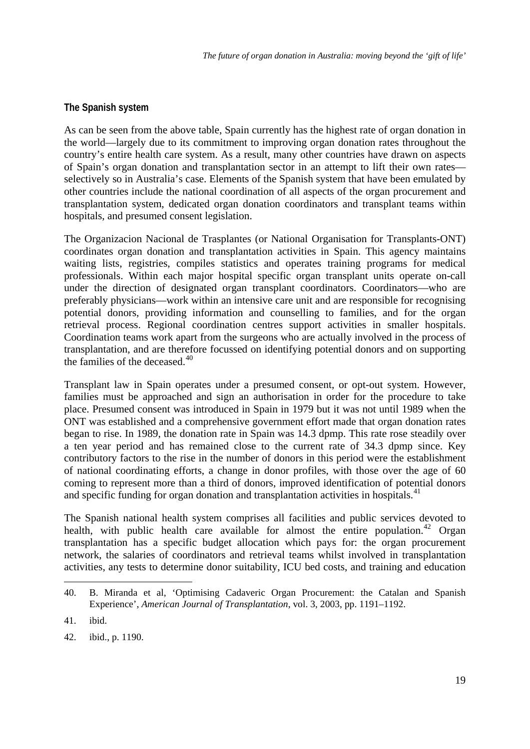# <span id="page-21-0"></span>**The Spanish system**

As can be seen from the above table, Spain currently has the highest rate of organ donation in the world—largely due to its commitment to improving organ donation rates throughout the country's entire health care system. As a result, many other countries have drawn on aspects of Spain's organ donation and transplantation sector in an attempt to lift their own rates selectively so in Australia's case. Elements of the Spanish system that have been emulated by other countries include the national coordination of all aspects of the organ procurement and transplantation system, dedicated organ donation coordinators and transplant teams within hospitals, and presumed consent legislation.

The Organizacion Nacional de Trasplantes (or National Organisation for Transplants-ONT) coordinates organ donation and transplantation activities in Spain. This agency maintains waiting lists, registries, compiles statistics and operates training programs for medical professionals. Within each major hospital specific organ transplant units operate on-call under the direction of designated organ transplant coordinators. Coordinators—who are preferably physicians—work within an intensive care unit and are responsible for recognising potential donors, providing information and counselling to families, and for the organ retrieval process. Regional coordination centres support activities in smaller hospitals. Coordination teams work apart from the surgeons who are actually involved in the process of transplantation, and are therefore focussed on identifying potential donors and on supporting the families of the deceased. $40$ 

Transplant law in Spain operates under a presumed consent, or opt-out system. However, families must be approached and sign an authorisation in order for the procedure to take place. Presumed consent was introduced in Spain in 1979 but it was not until 1989 when the ONT was established and a comprehensive government effort made that organ donation rates began to rise. In 1989, the donation rate in Spain was 14.3 dpmp. This rate rose steadily over a ten year period and has remained close to the current rate of 34.3 dpmp since. Key contributory factors to the rise in the number of donors in this period were the establishment of national coordinating efforts, a change in donor profiles, with those over the age of 60 coming to represent more than a third of donors, improved identification of potential donors and specific funding for organ donation and transplantation activities in hospitals.<sup>[41](#page-21-2)</sup>

The Spanish national health system comprises all facilities and public services devoted to health, with public health care available for almost the entire population.<sup>[42](#page-21-3)</sup> Organ transplantation has a specific budget allocation which pays for: the organ procurement network, the salaries of coordinators and retrieval teams whilst involved in transplantation activities, any tests to determine donor suitability, ICU bed costs, and training and education

<span id="page-21-1"></span><sup>40.</sup> B. Miranda et al, 'Optimising Cadaveric Organ Procurement: the Catalan and Spanish Experience', *American Journal of Transplantation*, vol. 3, 2003, pp. 1191–1192.

<span id="page-21-2"></span><sup>41.</sup> ibid.

<span id="page-21-3"></span><sup>42.</sup> ibid., p. 1190.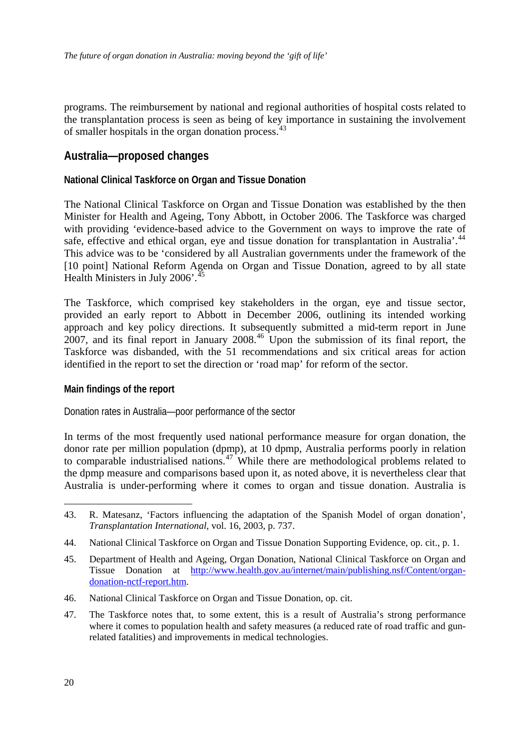<span id="page-22-0"></span>programs. The reimbursement by national and regional authorities of hospital costs related to the transplantation process is seen as being of key importance in sustaining the involvement of smaller hospitals in the organ donation process.[43](#page-22-1)

# **Australia—proposed changes**

# **National Clinical Taskforce on Organ and Tissue Donation**

The National Clinical Taskforce on Organ and Tissue Donation was established by the then Minister for Health and Ageing, Tony Abbott, in October 2006. The Taskforce was charged with providing 'evidence-based advice to the Government on ways to improve the rate of safe, effective and ethical organ, eye and tissue donation for transplantation in Australia'.<sup>[44](#page-22-2)</sup> This advice was to be 'considered by all Australian governments under the framework of the [10 point] National Reform Agenda on Organ and Tissue Donation, agreed to by all state Health Ministers in July 2006'. $^{45}$  $^{45}$  $^{45}$ 

The Taskforce, which comprised key stakeholders in the organ, eye and tissue sector, provided an early report to Abbott in December 2006, outlining its intended working approach and key policy directions. It subsequently submitted a mid-term report in June 2007, and its final report in January 2008.<sup>[46](#page-22-4)</sup> Upon the submission of its final report, the Taskforce was disbanded, with the 51 recommendations and six critical areas for action identified in the report to set the direction or 'road map' for reform of the sector.

### **Main findings of the report**

Donation rates in Australia—poor performance of the sector

In terms of the most frequently used national performance measure for organ donation, the donor rate per million population (dpmp), at 10 dpmp, Australia performs poorly in relation to comparable industrialised nations.<sup>[47](#page-22-5)</sup> While there are methodological problems related to the dpmp measure and comparisons based upon it, as noted above, it is nevertheless clear that Australia is under-performing where it comes to organ and tissue donation. Australia is

- <span id="page-22-4"></span>46. National Clinical Taskforce on Organ and Tissue Donation, op. cit.
- <span id="page-22-5"></span>47. The Taskforce notes that, to some extent, this is a result of Australia's strong performance where it comes to population health and safety measures (a reduced rate of road traffic and gunrelated fatalities) and improvements in medical technologies.

<span id="page-22-1"></span><sup>43.</sup> R. Matesanz, 'Factors influencing the adaptation of the Spanish Model of organ donation', *Transplantation International*, vol. 16, 2003, p. 737.

<span id="page-22-2"></span><sup>44.</sup> National Clinical Taskforce on Organ and Tissue Donation Supporting Evidence, op. cit., p. 1.

<span id="page-22-3"></span><sup>45.</sup> Department of Health and Ageing, Organ Donation, National Clinical Taskforce on Organ and Tissue Donation at [http://www.health.gov.au/internet/main/publishing.nsf/Content/organ](http://www.health.gov.au/internet/main/publishing.nsf/Content/organ-donation-nctf-report.htm)[donation-nctf-report.htm.](http://www.health.gov.au/internet/main/publishing.nsf/Content/organ-donation-nctf-report.htm)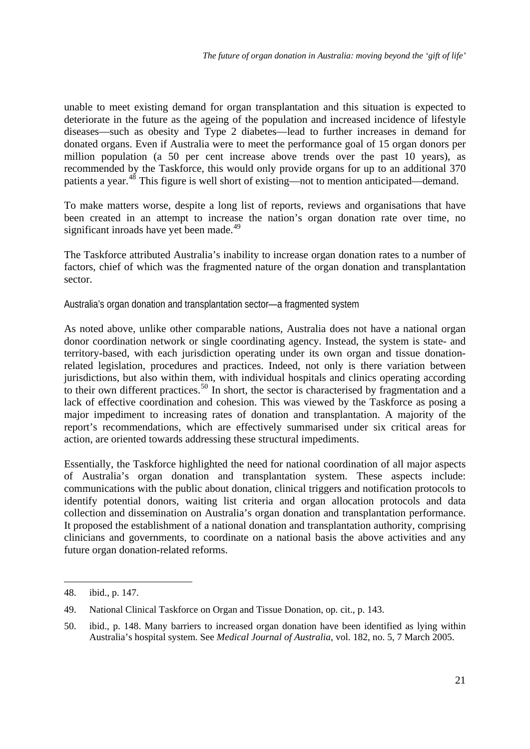<span id="page-23-0"></span>unable to meet existing demand for organ transplantation and this situation is expected to deteriorate in the future as the ageing of the population and increased incidence of lifestyle diseases—such as obesity and Type 2 diabetes—lead to further increases in demand for donated organs. Even if Australia were to meet the performance goal of 15 organ donors per million population (a 50 per cent increase above trends over the past 10 years), as recommended by the Taskforce, this would only provide organs for up to an additional 370 patients a year.<sup>[48](#page-23-1)</sup> This figure is well short of existing—not to mention anticipated—demand.

To make matters worse, despite a long list of reports, reviews and organisations that have been created in an attempt to increase the nation's organ donation rate over time, no significant inroads have yet been made.<sup>[49](#page-23-2)</sup>

The Taskforce attributed Australia's inability to increase organ donation rates to a number of factors, chief of which was the fragmented nature of the organ donation and transplantation sector.

Australia's organ donation and transplantation sector—a fragmented system

As noted above, unlike other comparable nations, Australia does not have a national organ donor coordination network or single coordinating agency. Instead, the system is state- and territory-based, with each jurisdiction operating under its own organ and tissue donationrelated legislation, procedures and practices. Indeed, not only is there variation between jurisdictions, but also within them, with individual hospitals and clinics operating according to their own different practices.<sup>[50](#page-23-3)</sup> In short, the sector is characterised by fragmentation and a lack of effective coordination and cohesion. This was viewed by the Taskforce as posing a major impediment to increasing rates of donation and transplantation. A majority of the report's recommendations, which are effectively summarised under six critical areas for action, are oriented towards addressing these structural impediments.

Essentially, the Taskforce highlighted the need for national coordination of all major aspects of Australia's organ donation and transplantation system. These aspects include: communications with the public about donation, clinical triggers and notification protocols to identify potential donors, waiting list criteria and organ allocation protocols and data collection and dissemination on Australia's organ donation and transplantation performance. It proposed the establishment of a national donation and transplantation authority, comprising clinicians and governments, to coordinate on a national basis the above activities and any future organ donation-related reforms.

<span id="page-23-1"></span><sup>48.</sup> ibid., p. 147.

<span id="page-23-2"></span><sup>49.</sup> National Clinical Taskforce on Organ and Tissue Donation, op. cit., p. 143.

<span id="page-23-3"></span><sup>50.</sup> ibid., p. 148. Many barriers to increased organ donation have been identified as lying within Australia's hospital system. See *Medical Journal of Australia*, vol. 182, no. 5, 7 March 2005.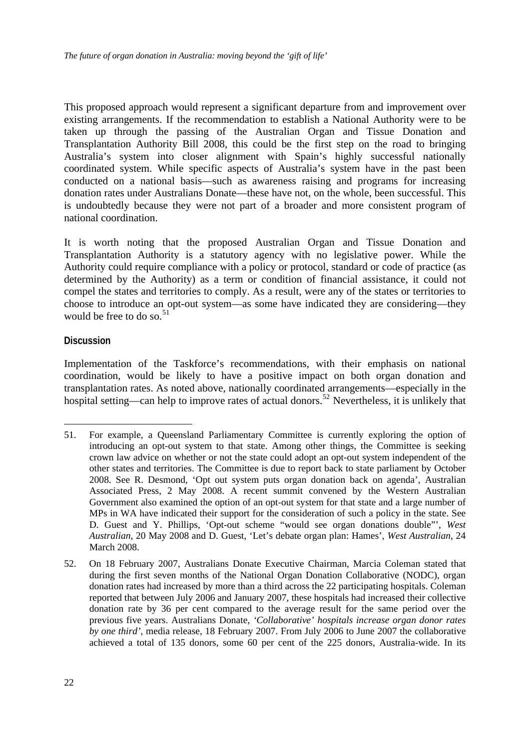<span id="page-24-0"></span>This proposed approach would represent a significant departure from and improvement over existing arrangements. If the recommendation to establish a National Authority were to be taken up through the passing of the Australian Organ and Tissue Donation and Transplantation Authority Bill 2008, this could be the first step on the road to bringing Australia's system into closer alignment with Spain's highly successful nationally coordinated system. While specific aspects of Australia's system have in the past been conducted on a national basis—such as awareness raising and programs for increasing donation rates under Australians Donate—these have not, on the whole, been successful. This is undoubtedly because they were not part of a broader and more consistent program of national coordination.

It is worth noting that the proposed Australian Organ and Tissue Donation and Transplantation Authority is a statutory agency with no legislative power. While the Authority could require compliance with a policy or protocol, standard or code of practice (as determined by the Authority) as a term or condition of financial assistance, it could not compel the states and territories to comply. As a result, were any of the states or territories to choose to introduce an opt-out system—as some have indicated they are considering—they would be free to do so. $51$ 

### **Discussion**

1

Implementation of the Taskforce's recommendations, with their emphasis on national coordination, would be likely to have a positive impact on both organ donation and transplantation rates. As noted above, nationally coordinated arrangements—especially in the hospital setting—can help to improve rates of actual donors.<sup>[52](#page-24-2)</sup> Nevertheless, it is unlikely that

<span id="page-24-1"></span><sup>51.</sup> For example, a Queensland Parliamentary Committee is currently exploring the option of introducing an opt-out system to that state. Among other things, the Committee is seeking crown law advice on whether or not the state could adopt an opt-out system independent of the other states and territories. The Committee is due to report back to state parliament by October 2008. See R. Desmond, 'Opt out system puts organ donation back on agenda', Australian Associated Press, 2 May 2008. A recent summit convened by the Western Australian Government also examined the option of an opt-out system for that state and a large number of MPs in WA have indicated their support for the consideration of such a policy in the state. See D. Guest and Y. Phillips, 'Opt-out scheme "would see organ donations double"', *West Australian*, 20 May 2008 and D. Guest, 'Let's debate organ plan: Hames', *West Australian*, 24 March 2008.

<span id="page-24-2"></span><sup>52.</sup> On 18 February 2007, Australians Donate Executive Chairman, Marcia Coleman stated that during the first seven months of the National Organ Donation Collaborative (NODC), organ donation rates had increased by more than a third across the 22 participating hospitals. Coleman reported that between July 2006 and January 2007, these hospitals had increased their collective donation rate by 36 per cent compared to the average result for the same period over the previous five years. Australians Donate, *'Collaborative' hospitals increase organ donor rates by one third'*, media release, 18 February 2007. From July 2006 to June 2007 the collaborative achieved a total of 135 donors, some 60 per cent of the 225 donors, Australia-wide. In its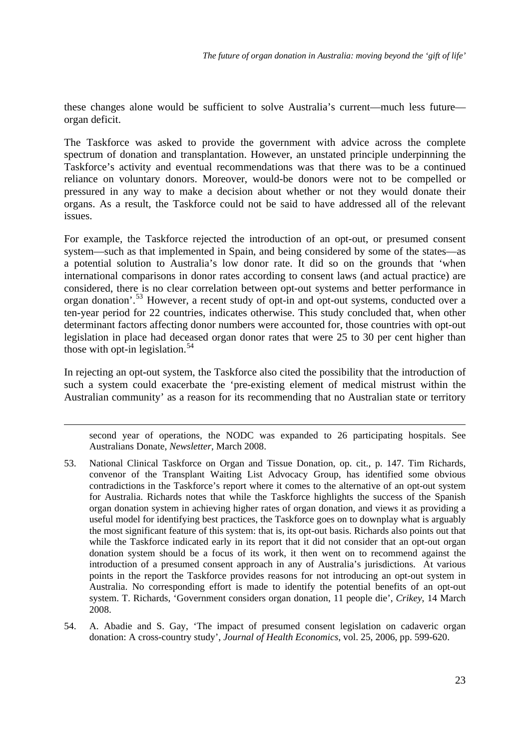these changes alone would be sufficient to solve Australia's current—much less future organ deficit.

The Taskforce was asked to provide the government with advice across the complete spectrum of donation and transplantation. However, an unstated principle underpinning the Taskforce's activity and eventual recommendations was that there was to be a continued reliance on voluntary donors. Moreover, would-be donors were not to be compelled or pressured in any way to make a decision about whether or not they would donate their organs. As a result, the Taskforce could not be said to have addressed all of the relevant issues.

For example, the Taskforce rejected the introduction of an opt-out, or presumed consent system—such as that implemented in Spain, and being considered by some of the states—as a potential solution to Australia's low donor rate. It did so on the grounds that 'when international comparisons in donor rates according to consent laws (and actual practice) are considered, there is no clear correlation between opt-out systems and better performance in organ donation'.[53](#page-25-0) However, a recent study of opt-in and opt-out systems, conducted over a ten-year period for 22 countries, indicates otherwise. This study concluded that, when other determinant factors affecting donor numbers were accounted for, those countries with opt-out legislation in place had deceased organ donor rates that were 25 to 30 per cent higher than those with opt-in legislation.<sup>[54](#page-25-1)</sup>

In rejecting an opt-out system, the Taskforce also cited the possibility that the introduction of such a system could exacerbate the 'pre-existing element of medical mistrust within the Australian community' as a reason for its recommending that no Australian state or territory

<u>.</u>

second year of operations, the NODC was expanded to 26 participating hospitals. See Australians Donate, *Newsletter*, March 2008.

- <span id="page-25-0"></span>53. National Clinical Taskforce on Organ and Tissue Donation, op. cit., p. 147. Tim Richards, convenor of the Transplant Waiting List Advocacy Group, has identified some obvious contradictions in the Taskforce's report where it comes to the alternative of an opt-out system for Australia. Richards notes that while the Taskforce highlights the success of the Spanish organ donation system in achieving higher rates of organ donation, and views it as providing a useful model for identifying best practices, the Taskforce goes on to downplay what is arguably the most significant feature of this system: that is, its opt-out basis. Richards also points out that while the Taskforce indicated early in its report that it did not consider that an opt-out organ donation system should be a focus of its work, it then went on to recommend against the introduction of a presumed consent approach in any of Australia's jurisdictions. At various points in the report the Taskforce provides reasons for not introducing an opt-out system in Australia. No corresponding effort is made to identify the potential benefits of an opt-out system. T. Richards, 'Government considers organ donation, 11 people die', *Crikey*, 14 March 2008.
- <span id="page-25-1"></span>54. A. Abadie and S. Gay, 'The impact of presumed consent legislation on cadaveric organ donation: A cross-country study', *Journal of Health Economics*, vol. 25, 2006, pp. 599-620.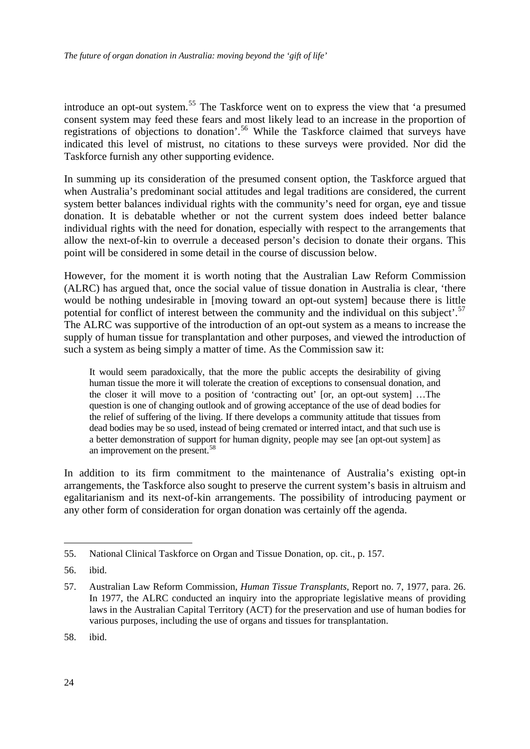introduce an opt-out system.<sup>[55](#page-26-0)</sup> The Taskforce went on to express the view that 'a presumed consent system may feed these fears and most likely lead to an increase in the proportion of registrations of objections to donation'.<sup>[56](#page-26-1)</sup> While the Taskforce claimed that surveys have indicated this level of mistrust, no citations to these surveys were provided. Nor did the Taskforce furnish any other supporting evidence.

In summing up its consideration of the presumed consent option, the Taskforce argued that when Australia's predominant social attitudes and legal traditions are considered, the current system better balances individual rights with the community's need for organ, eye and tissue donation. It is debatable whether or not the current system does indeed better balance individual rights with the need for donation, especially with respect to the arrangements that allow the next-of-kin to overrule a deceased person's decision to donate their organs. This point will be considered in some detail in the course of discussion below.

However, for the moment it is worth noting that the Australian Law Reform Commission (ALRC) has argued that, once the social value of tissue donation in Australia is clear, 'there would be nothing undesirable in [moving toward an opt-out system] because there is little potential for conflict of interest between the community and the individual on this subject'.<sup>[57](#page-26-2)</sup> The ALRC was supportive of the introduction of an opt-out system as a means to increase the supply of human tissue for transplantation and other purposes, and viewed the introduction of such a system as being simply a matter of time. As the Commission saw it:

It would seem paradoxically, that the more the public accepts the desirability of giving human tissue the more it will tolerate the creation of exceptions to consensual donation, and the closer it will move to a position of 'contracting out' [or, an opt-out system] …The question is one of changing outlook and of growing acceptance of the use of dead bodies for the relief of suffering of the living. If there develops a community attitude that tissues from dead bodies may be so used, instead of being cremated or interred intact, and that such use is a better demonstration of support for human dignity, people may see [an opt-out system] as an improvement on the present.<sup>[58](#page-26-3)</sup>

In addition to its firm commitment to the maintenance of Australia's existing opt-in arrangements, the Taskforce also sought to preserve the current system's basis in altruism and egalitarianism and its next-of-kin arrangements. The possibility of introducing payment or any other form of consideration for organ donation was certainly off the agenda.

<u>.</u>

<span id="page-26-3"></span>58. ibid.

<span id="page-26-0"></span><sup>55.</sup> National Clinical Taskforce on Organ and Tissue Donation, op. cit., p. 157.

<span id="page-26-1"></span><sup>56.</sup> ibid.

<span id="page-26-2"></span><sup>57.</sup> Australian Law Reform Commission, *Human Tissue Transplants*, Report no. 7, 1977, para. 26. In 1977, the ALRC conducted an inquiry into the appropriate legislative means of providing laws in the Australian Capital Territory (ACT) for the preservation and use of human bodies for various purposes, including the use of organs and tissues for transplantation.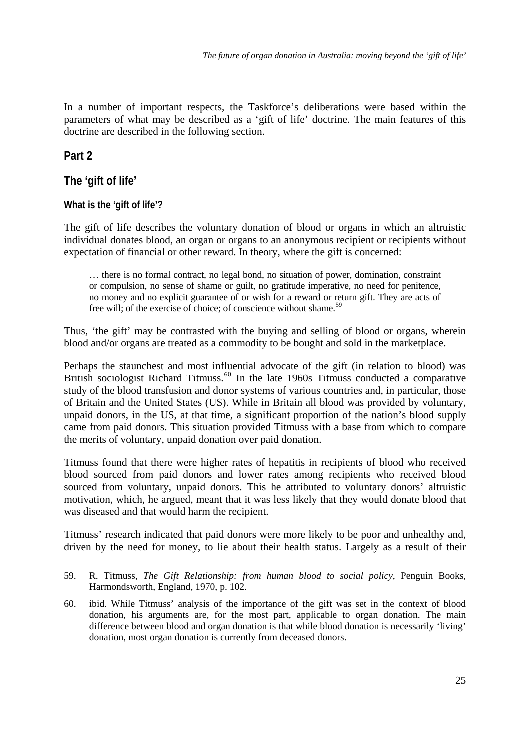<span id="page-27-0"></span>In a number of important respects, the Taskforce's deliberations were based within the parameters of what may be described as a 'gift of life' doctrine. The main features of this doctrine are described in the following section.

# **Part 2**

1

# **The 'gift of life'**

# **What is the 'gift of life'?**

The gift of life describes the voluntary donation of blood or organs in which an altruistic individual donates blood, an organ or organs to an anonymous recipient or recipients without expectation of financial or other reward. In theory, where the gift is concerned:

… there is no formal contract, no legal bond, no situation of power, domination, constraint or compulsion, no sense of shame or guilt, no gratitude imperative, no need for penitence, no money and no explicit guarantee of or wish for a reward or return gift. They are acts of free will; of the exercise of choice; of conscience without shame.<sup>[59](#page-27-1)</sup>

Thus, 'the gift' may be contrasted with the buying and selling of blood or organs, wherein blood and/or organs are treated as a commodity to be bought and sold in the marketplace.

Perhaps the staunchest and most influential advocate of the gift (in relation to blood) was British sociologist Richard Titmuss.<sup>[60](#page-27-2)</sup> In the late 1960s Titmuss conducted a comparative study of the blood transfusion and donor systems of various countries and, in particular, those of Britain and the United States (US). While in Britain all blood was provided by voluntary, unpaid donors, in the US, at that time, a significant proportion of the nation's blood supply came from paid donors. This situation provided Titmuss with a base from which to compare the merits of voluntary, unpaid donation over paid donation.

Titmuss found that there were higher rates of hepatitis in recipients of blood who received blood sourced from paid donors and lower rates among recipients who received blood sourced from voluntary, unpaid donors. This he attributed to voluntary donors' altruistic motivation, which, he argued, meant that it was less likely that they would donate blood that was diseased and that would harm the recipient.

Titmuss' research indicated that paid donors were more likely to be poor and unhealthy and, driven by the need for money, to lie about their health status. Largely as a result of their

<span id="page-27-1"></span><sup>59.</sup> R. Titmuss, *The Gift Relationship: from human blood to social policy*, Penguin Books, Harmondsworth, England, 1970, p. 102.

<span id="page-27-2"></span><sup>60.</sup> ibid. While Titmuss' analysis of the importance of the gift was set in the context of blood donation, his arguments are, for the most part, applicable to organ donation. The main difference between blood and organ donation is that while blood donation is necessarily 'living' donation, most organ donation is currently from deceased donors.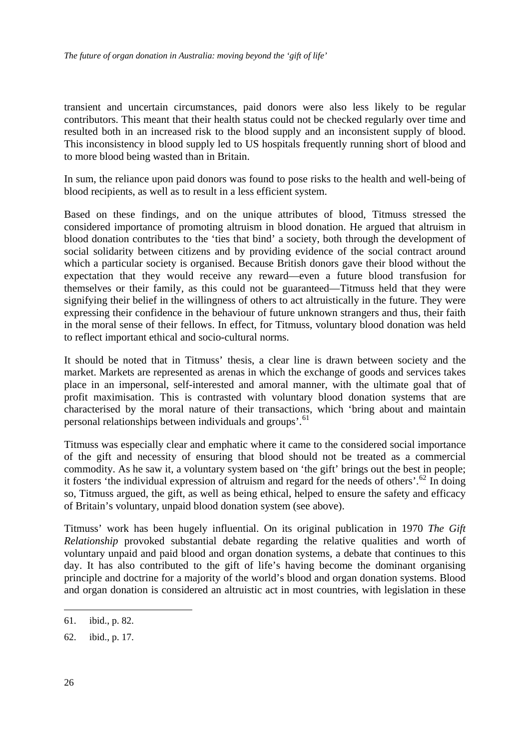transient and uncertain circumstances, paid donors were also less likely to be regular contributors. This meant that their health status could not be checked regularly over time and resulted both in an increased risk to the blood supply and an inconsistent supply of blood. This inconsistency in blood supply led to US hospitals frequently running short of blood and to more blood being wasted than in Britain.

In sum, the reliance upon paid donors was found to pose risks to the health and well-being of blood recipients, as well as to result in a less efficient system.

Based on these findings, and on the unique attributes of blood, Titmuss stressed the considered importance of promoting altruism in blood donation. He argued that altruism in blood donation contributes to the 'ties that bind' a society, both through the development of social solidarity between citizens and by providing evidence of the social contract around which a particular society is organised. Because British donors gave their blood without the expectation that they would receive any reward—even a future blood transfusion for themselves or their family, as this could not be guaranteed—Titmuss held that they were signifying their belief in the willingness of others to act altruistically in the future. They were expressing their confidence in the behaviour of future unknown strangers and thus, their faith in the moral sense of their fellows. In effect, for Titmuss, voluntary blood donation was held to reflect important ethical and socio-cultural norms.

It should be noted that in Titmuss' thesis, a clear line is drawn between society and the market. Markets are represented as arenas in which the exchange of goods and services takes place in an impersonal, self-interested and amoral manner, with the ultimate goal that of profit maximisation. This is contrasted with voluntary blood donation systems that are characterised by the moral nature of their transactions, which 'bring about and maintain personal relationships between individuals and groups'.<sup>[61](#page-28-0)</sup>

Titmuss was especially clear and emphatic where it came to the considered social importance of the gift and necessity of ensuring that blood should not be treated as a commercial commodity. As he saw it, a voluntary system based on 'the gift' brings out the best in people; it fosters 'the individual expression of altruism and regard for the needs of others'.[62](#page-28-1) In doing so, Titmuss argued, the gift, as well as being ethical, helped to ensure the safety and efficacy of Britain's voluntary, unpaid blood donation system (see above).

Titmuss' work has been hugely influential. On its original publication in 1970 *The Gift Relationship* provoked substantial debate regarding the relative qualities and worth of voluntary unpaid and paid blood and organ donation systems, a debate that continues to this day. It has also contributed to the gift of life's having become the dominant organising principle and doctrine for a majority of the world's blood and organ donation systems. Blood and organ donation is considered an altruistic act in most countries, with legislation in these

<span id="page-28-0"></span><sup>61.</sup> ibid., p. 82.

<span id="page-28-1"></span><sup>62.</sup> ibid., p. 17.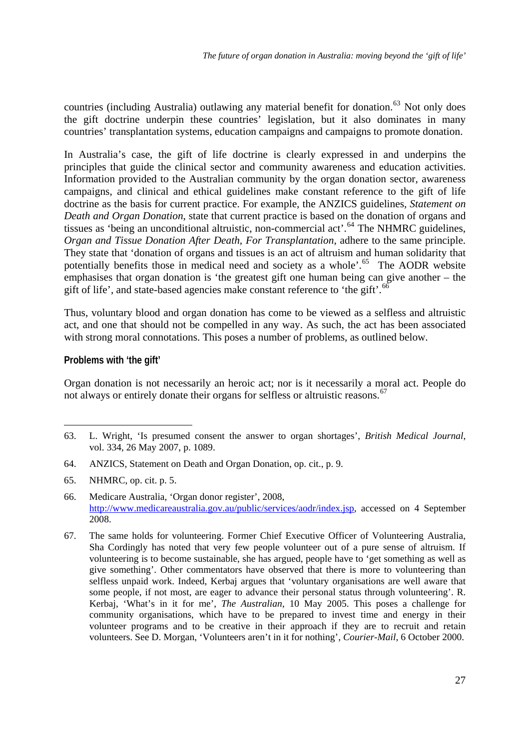<span id="page-29-0"></span>countries (including Australia) outlawing any material benefit for donation.<sup>[63](#page-29-1)</sup> Not only does the gift doctrine underpin these countries' legislation, but it also dominates in many countries' transplantation systems, education campaigns and campaigns to promote donation.

In Australia's case, the gift of life doctrine is clearly expressed in and underpins the principles that guide the clinical sector and community awareness and education activities. Information provided to the Australian community by the organ donation sector, awareness campaigns, and clinical and ethical guidelines make constant reference to the gift of life doctrine as the basis for current practice. For example, the ANZICS guidelines, *Statement on Death and Organ Donation*, state that current practice is based on the donation of organs and tissues as 'being an unconditional altruistic, non-commercial act'.[64](#page-29-2) The NHMRC guidelines, *Organ and Tissue Donation After Death, For Transplantation*, adhere to the same principle. They state that 'donation of organs and tissues is an act of altruism and human solidarity that potentially benefits those in medical need and society as a whole'.<sup>[65](#page-29-3)</sup> The AODR website emphasises that organ donation is 'the greatest gift one human being can give another – the gift of life', and state-based agencies make constant reference to 'the gift'.<sup>6</sup>

Thus, voluntary blood and organ donation has come to be viewed as a selfless and altruistic act, and one that should not be compelled in any way. As such, the act has been associated with strong moral connotations. This poses a number of problems, as outlined below.

### **Problems with 'the gift'**

1

Organ donation is not necessarily an heroic act; nor is it necessarily a moral act. People do not always or entirely donate their organs for selfless or altruistic reasons.<sup>[67](#page-29-5)</sup>

- <span id="page-29-2"></span>64. ANZICS, Statement on Death and Organ Donation, op. cit., p. 9.
- <span id="page-29-3"></span>65. NHMRC, op. cit. p. 5.

<span id="page-29-1"></span><sup>63.</sup> L. Wright, 'Is presumed consent the answer to organ shortages', *British Medical Journal*, vol. 334, 26 May 2007, p. 1089.

<span id="page-29-4"></span><sup>66.</sup> Medicare Australia, 'Organ donor register', 2008, [http://www.medicareaustralia.gov.au/public/services/aodr/index.jsp,](http://www.medicareaustralia.gov.au/public/services/aodr/index.jsp) accessed on 4 September 2008.

<span id="page-29-5"></span><sup>67.</sup> The same holds for volunteering. Former Chief Executive Officer of Volunteering Australia, Sha Cordingly has noted that very few people volunteer out of a pure sense of altruism. If volunteering is to become sustainable, she has argued, people have to 'get something as well as give something'. Other commentators have observed that there is more to volunteering than selfless unpaid work. Indeed, Kerbaj argues that 'voluntary organisations are well aware that some people, if not most, are eager to advance their personal status through volunteering'. R. Kerbaj, 'What's in it for me', *The Australian*, 10 May 2005. This poses a challenge for community organisations, which have to be prepared to invest time and energy in their volunteer programs and to be creative in their approach if they are to recruit and retain volunteers. See D. Morgan, 'Volunteers aren't in it for nothing', *Courier-Mail*, 6 October 2000.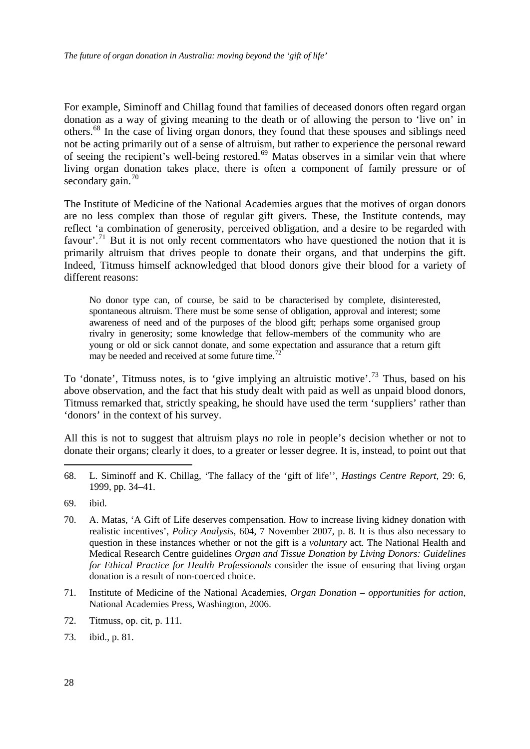For example, Siminoff and Chillag found that families of deceased donors often regard organ donation as a way of giving meaning to the death or of allowing the person to 'live on' in others.[68](#page-30-0) In the case of living organ donors, they found that these spouses and siblings need not be acting primarily out of a sense of altruism, but rather to experience the personal reward of seeing the recipient's well-being restored.<sup>[69](#page-30-1)</sup> Matas observes in a similar vein that where living organ donation takes place, there is often a component of family pressure or of secondary gain. $70$ 

The Institute of Medicine of the National Academies argues that the motives of organ donors are no less complex than those of regular gift givers. These, the Institute contends, may reflect 'a combination of generosity, perceived obligation, and a desire to be regarded with favour'.<sup>[71](#page-30-3)</sup> But it is not only recent commentators who have questioned the notion that it is primarily altruism that drives people to donate their organs, and that underpins the gift. Indeed, Titmuss himself acknowledged that blood donors give their blood for a variety of different reasons:

No donor type can, of course, be said to be characterised by complete, disinterested, spontaneous altruism. There must be some sense of obligation, approval and interest; some awareness of need and of the purposes of the blood gift; perhaps some organised group rivalry in generosity; some knowledge that fellow-members of the community who are young or old or sick cannot donate, and some expectation and assurance that a return gift may be needed and received at some future time.<sup>[72](#page-30-4)</sup>

To 'donate', Titmuss notes, is to 'give implying an altruistic motive'.<sup>[73](#page-30-5)</sup> Thus, based on his above observation, and the fact that his study dealt with paid as well as unpaid blood donors, Titmuss remarked that, strictly speaking, he should have used the term 'suppliers' rather than 'donors' in the context of his survey.

All this is not to suggest that altruism plays *no* role in people's decision whether or not to donate their organs; clearly it does, to a greater or lesser degree. It is, instead, to point out that

<span id="page-30-0"></span>68. L. Siminoff and K. Chillag, 'The fallacy of the 'gift of life'', *Hastings Centre Report*, 29: 6, 1999, pp. 34–41.

- <span id="page-30-2"></span>70. A. Matas, 'A Gift of Life deserves compensation. How to increase living kidney donation with realistic incentives', *Policy Analysis*, 604, 7 November 2007, p. 8. It is thus also necessary to question in these instances whether or not the gift is a *voluntary* act. The National Health and Medical Research Centre guidelines *Organ and Tissue Donation by Living Donors: Guidelines for Ethical Practice for Health Professionals* consider the issue of ensuring that living organ donation is a result of non-coerced choice.
- <span id="page-30-3"></span>71. Institute of Medicine of the National Academies, *Organ Donation – opportunities for action*, National Academies Press, Washington, 2006.
- <span id="page-30-4"></span>72. Titmuss, op. cit, p. 111.
- <span id="page-30-5"></span>73. ibid., p. 81.

<span id="page-30-1"></span><sup>69.</sup> ibid.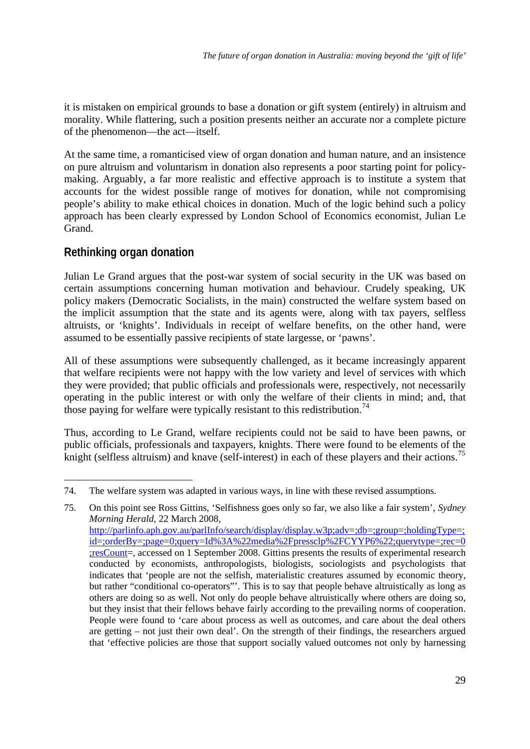<span id="page-31-0"></span>it is mistaken on empirical grounds to base a donation or gift system (entirely) in altruism and morality. While flattering, such a position presents neither an accurate nor a complete picture of the phenomenon—the act—itself.

At the same time, a romanticised view of organ donation and human nature, and an insistence on pure altruism and voluntarism in donation also represents a poor starting point for policymaking. Arguably, a far more realistic and effective approach is to institute a system that accounts for the widest possible range of motives for donation, while not compromising people's ability to make ethical choices in donation. Much of the logic behind such a policy approach has been clearly expressed by London School of Economics economist, Julian Le Grand.

# **Rethinking organ donation**

<u>.</u>

Julian Le Grand argues that the post-war system of social security in the UK was based on certain assumptions concerning human motivation and behaviour. Crudely speaking, UK policy makers (Democratic Socialists, in the main) constructed the welfare system based on the implicit assumption that the state and its agents were, along with tax payers, selfless altruists, or 'knights'. Individuals in receipt of welfare benefits, on the other hand, were assumed to be essentially passive recipients of state largesse, or 'pawns'.

All of these assumptions were subsequently challenged, as it became increasingly apparent that welfare recipients were not happy with the low variety and level of services with which they were provided; that public officials and professionals were, respectively, not necessarily operating in the public interest or with only the welfare of their clients in mind; and, that those paying for welfare were typically resistant to this redistribution.<sup>[74](#page-31-1)</sup>

Thus, according to Le Grand, welfare recipients could not be said to have been pawns, or public officials, professionals and taxpayers, knights. There were found to be elements of the knight (selfless altruism) and knave (self-interest) in each of these players and their actions.<sup>[75](#page-31-2)</sup>

<span id="page-31-1"></span><sup>74.</sup> The welfare system was adapted in various ways, in line with these revised assumptions.

<span id="page-31-2"></span><sup>75.</sup> On this point see Ross Gittins, 'Selfishness goes only so far, we also like a fair system', *Sydney Morning Herald*, 22 March 2008, [http://parlinfo.aph.gov.au/parlInfo/search/display/display.w3p;adv=;db=;group=;holdingType=;](http://parlinfo.aph.gov.au/parlInfo/search/display/display.w3p;adv=;db=;group=;holdingType=;id=;orderBy=;page=0;query=Id%3A%22media%2Fpressclp%2FCYYP6%22;querytype=;rec=0;resCount) [id=;orderBy=;page=0;query=Id%3A%22media%2Fpressclp%2FCYYP6%22;querytype=;rec=0](http://parlinfo.aph.gov.au/parlInfo/search/display/display.w3p;adv=;db=;group=;holdingType=;id=;orderBy=;page=0;query=Id%3A%22media%2Fpressclp%2FCYYP6%22;querytype=;rec=0;resCount) [;resCount](http://parlinfo.aph.gov.au/parlInfo/search/display/display.w3p;adv=;db=;group=;holdingType=;id=;orderBy=;page=0;query=Id%3A%22media%2Fpressclp%2FCYYP6%22;querytype=;rec=0;resCount)=, accessed on 1 September 2008. Gittins presents the results of experimental research conducted by economists, anthropologists, biologists, sociologists and psychologists that indicates that 'people are not the selfish, materialistic creatures assumed by economic theory, but rather "conditional co-operators"'. This is to say that people behave altruistically as long as others are doing so as well. Not only do people behave altruistically where others are doing so, but they insist that their fellows behave fairly according to the prevailing norms of cooperation. People were found to 'care about process as well as outcomes, and care about the deal others are getting – not just their own deal'. On the strength of their findings, the researchers argued that 'effective policies are those that support socially valued outcomes not only by harnessing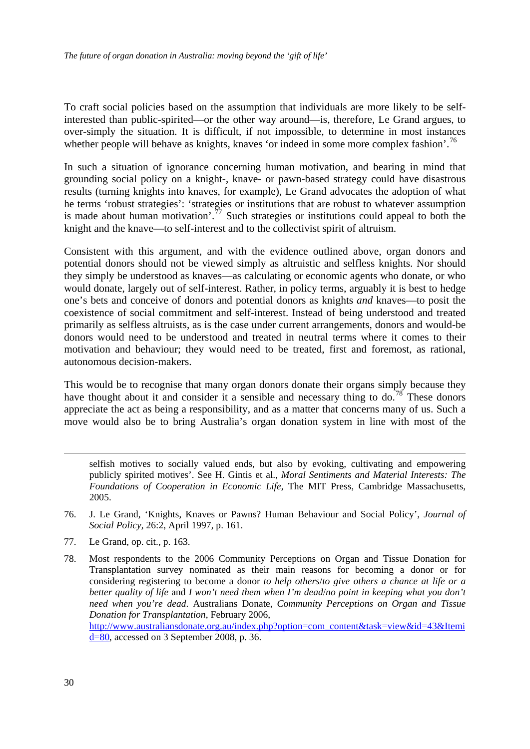To craft social policies based on the assumption that individuals are more likely to be selfinterested than public-spirited—or the other way around—is, therefore, Le Grand argues, to over-simply the situation. It is difficult, if not impossible, to determine in most instances whether people will behave as knights, knaves 'or indeed in some more complex fashion'.<sup>[76](#page-32-0)</sup>

In such a situation of ignorance concerning human motivation, and bearing in mind that grounding social policy on a knight-, knave- or pawn-based strategy could have disastrous results (turning knights into knaves, for example), Le Grand advocates the adoption of what he terms 'robust strategies': 'strategies or institutions that are robust to whatever assumption is made about human motivation'.<sup>[77](#page-32-1)</sup> Such strategies or institutions could appeal to both the knight and the knave—to self-interest and to the collectivist spirit of altruism.

Consistent with this argument, and with the evidence outlined above, organ donors and potential donors should not be viewed simply as altruistic and selfless knights. Nor should they simply be understood as knaves—as calculating or economic agents who donate, or who would donate, largely out of self-interest. Rather, in policy terms, arguably it is best to hedge one's bets and conceive of donors and potential donors as knights *and* knaves—to posit the coexistence of social commitment and self-interest. Instead of being understood and treated primarily as selfless altruists, as is the case under current arrangements, donors and would-be donors would need to be understood and treated in neutral terms where it comes to their motivation and behaviour; they would need to be treated, first and foremost, as rational, autonomous decision-makers.

This would be to recognise that many organ donors donate their organs simply because they have thought about it and consider it a sensible and necessary thing to do.<sup>[78](#page-32-2)</sup> These donors appreciate the act as being a responsibility, and as a matter that concerns many of us. Such a move would also be to bring Australia's organ donation system in line with most of the

selfish motives to socially valued ends, but also by evoking, cultivating and empowering publicly spirited motives'. See H. Gintis et al., *Moral Sentiments and Material Interests: The Foundations of Cooperation in Economic Life*, The MIT Press, Cambridge Massachusetts, 2005.

- <span id="page-32-0"></span>76. J. Le Grand, 'Knights, Knaves or Pawns? Human Behaviour and Social Policy', *Journal of Social Policy*, 26:2, April 1997, p. 161.
- <span id="page-32-1"></span>77. Le Grand, op. cit., p. 163.
- <span id="page-32-2"></span>78. Most respondents to the 2006 Community Perceptions on Organ and Tissue Donation for Transplantation survey nominated as their main reasons for becoming a donor or for considering registering to become a donor *to help others*/*to give others a chance at life or a better quality of life* and *I won't need them when I'm dead*/*no point in keeping what you don't need when you're dead*. Australians Donate, *Community Perceptions on Organ and Tissue Donation for Transplantation*, February 2006, [http://www.australiansdonate.org.au/index.php?option=com\\_content&task=view&id=43&Itemi](http://www.australiansdonate.org.au/index.php?option=com_content&task=view&id=43&Itemid=80) [d=80](http://www.australiansdonate.org.au/index.php?option=com_content&task=view&id=43&Itemid=80), accessed on 3 September 2008, p. 36.

<u>.</u>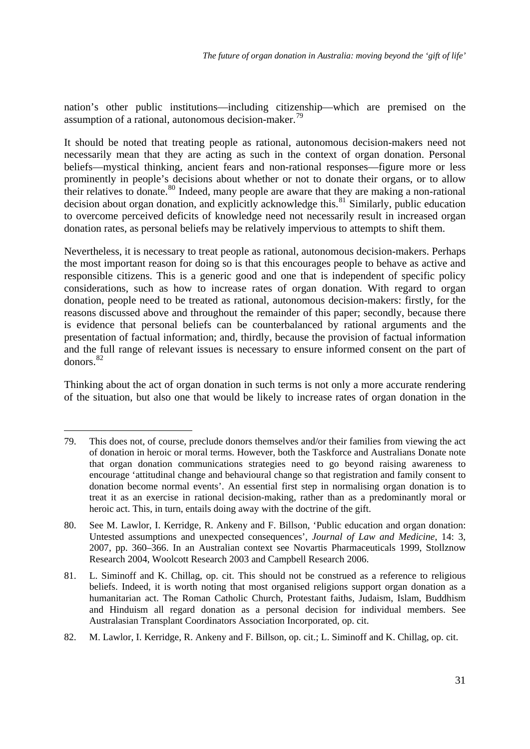nation's other public institutions—including citizenship—which are premised on the assumption of a rational, autonomous decision-maker.<sup>[79](#page-33-0)</sup>

It should be noted that treating people as rational, autonomous decision-makers need not necessarily mean that they are acting as such in the context of organ donation. Personal beliefs—mystical thinking, ancient fears and non-rational responses—figure more or less prominently in people's decisions about whether or not to donate their organs, or to allow their relatives to donate.<sup>[80](#page-33-1)</sup> Indeed, many people are aware that they are making a non-rational decision about organ donation, and explicitly acknowledge this.<sup>[81](#page-33-2)</sup> Similarly, public education to overcome perceived deficits of knowledge need not necessarily result in increased organ donation rates, as personal beliefs may be relatively impervious to attempts to shift them.

Nevertheless, it is necessary to treat people as rational, autonomous decision-makers. Perhaps the most important reason for doing so is that this encourages people to behave as active and responsible citizens. This is a generic good and one that is independent of specific policy considerations, such as how to increase rates of organ donation. With regard to organ donation, people need to be treated as rational, autonomous decision-makers: firstly, for the reasons discussed above and throughout the remainder of this paper; secondly, because there is evidence that personal beliefs can be counterbalanced by rational arguments and the presentation of factual information; and, thirdly, because the provision of factual information and the full range of relevant issues is necessary to ensure informed consent on the part of donors.[82](#page-33-3)

Thinking about the act of organ donation in such terms is not only a more accurate rendering of the situation, but also one that would be likely to increase rates of organ donation in the

<span id="page-33-0"></span><sup>79.</sup> This does not, of course, preclude donors themselves and/or their families from viewing the act of donation in heroic or moral terms. However, both the Taskforce and Australians Donate note that organ donation communications strategies need to go beyond raising awareness to encourage 'attitudinal change and behavioural change so that registration and family consent to donation become normal events'. An essential first step in normalising organ donation is to treat it as an exercise in rational decision-making, rather than as a predominantly moral or heroic act. This, in turn, entails doing away with the doctrine of the gift.

<span id="page-33-1"></span><sup>80.</sup> See M. Lawlor, I. Kerridge, R. Ankeny and F. Billson, 'Public education and organ donation: Untested assumptions and unexpected consequences', *Journal of Law and Medicine*, 14: 3, 2007, pp. 360–366. In an Australian context see Novartis Pharmaceuticals 1999, Stollznow Research 2004, Woolcott Research 2003 and Campbell Research 2006.

<span id="page-33-2"></span><sup>81.</sup> L. Siminoff and K. Chillag, op. cit. This should not be construed as a reference to religious beliefs. Indeed, it is worth noting that most organised religions support organ donation as a humanitarian act. The Roman Catholic Church, Protestant faiths, Judaism, Islam, Buddhism and Hinduism all regard donation as a personal decision for individual members. See Australasian Transplant Coordinators Association Incorporated, op. cit.

<span id="page-33-3"></span><sup>82.</sup> M. Lawlor, I. Kerridge, R. Ankeny and F. Billson, op. cit.; L. Siminoff and K. Chillag, op. cit.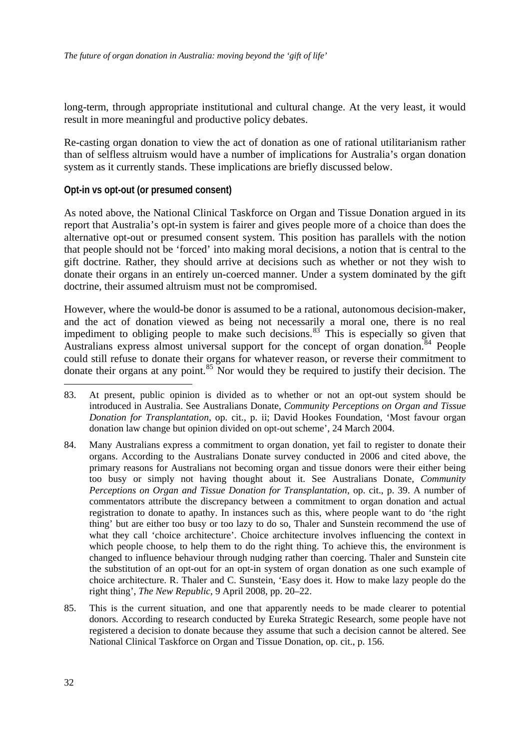<span id="page-34-0"></span>long-term, through appropriate institutional and cultural change. At the very least, it would result in more meaningful and productive policy debates.

Re-casting organ donation to view the act of donation as one of rational utilitarianism rather than of selfless altruism would have a number of implications for Australia's organ donation system as it currently stands. These implications are briefly discussed below.

### **Opt-in vs opt-out (or presumed consent)**

As noted above, the National Clinical Taskforce on Organ and Tissue Donation argued in its report that Australia's opt-in system is fairer and gives people more of a choice than does the alternative opt-out or presumed consent system. This position has parallels with the notion that people should not be 'forced' into making moral decisions, a notion that is central to the gift doctrine. Rather, they should arrive at decisions such as whether or not they wish to donate their organs in an entirely un-coerced manner. Under a system dominated by the gift doctrine, their assumed altruism must not be compromised.

However, where the would-be donor is assumed to be a rational, autonomous decision-maker, and the act of donation viewed as being not necessarily a moral one, there is no real impediment to obliging people to make such decisions. $83$  This is especially so given that Australians express almost universal support for the concept of organ donation.<sup>[84](#page-34-2)</sup> People could still refuse to donate their organs for whatever reason, or reverse their commitment to donate their organs at any point.[85](#page-34-3) Nor would they be required to justify their decision. The

- <span id="page-34-1"></span>83. At present, public opinion is divided as to whether or not an opt-out system should be introduced in Australia. See Australians Donate, *Community Perceptions on Organ and Tissue Donation for Transplantation*, op. cit., p. ii; David Hookes Foundation, 'Most favour organ donation law change but opinion divided on opt-out scheme', 24 March 2004.
- <span id="page-34-2"></span>84. Many Australians express a commitment to organ donation, yet fail to register to donate their organs. According to the Australians Donate survey conducted in 2006 and cited above, the primary reasons for Australians not becoming organ and tissue donors were their either being too busy or simply not having thought about it. See Australians Donate, *Community Perceptions on Organ and Tissue Donation for Transplantation*, op. cit., p. 39. A number of commentators attribute the discrepancy between a commitment to organ donation and actual registration to donate to apathy. In instances such as this, where people want to do 'the right thing' but are either too busy or too lazy to do so, Thaler and Sunstein recommend the use of what they call 'choice architecture'. Choice architecture involves influencing the context in which people choose, to help them to do the right thing. To achieve this, the environment is changed to influence behaviour through nudging rather than coercing. Thaler and Sunstein cite the substitution of an opt-out for an opt-in system of organ donation as one such example of choice architecture. R. Thaler and C. Sunstein, 'Easy does it. How to make lazy people do the right thing', *The New Republic*, 9 April 2008, pp. 20–22.
- <span id="page-34-3"></span>85. This is the current situation, and one that apparently needs to be made clearer to potential donors. According to research conducted by Eureka Strategic Research, some people have not registered a decision to donate because they assume that such a decision cannot be altered. See National Clinical Taskforce on Organ and Tissue Donation, op. cit., p. 156.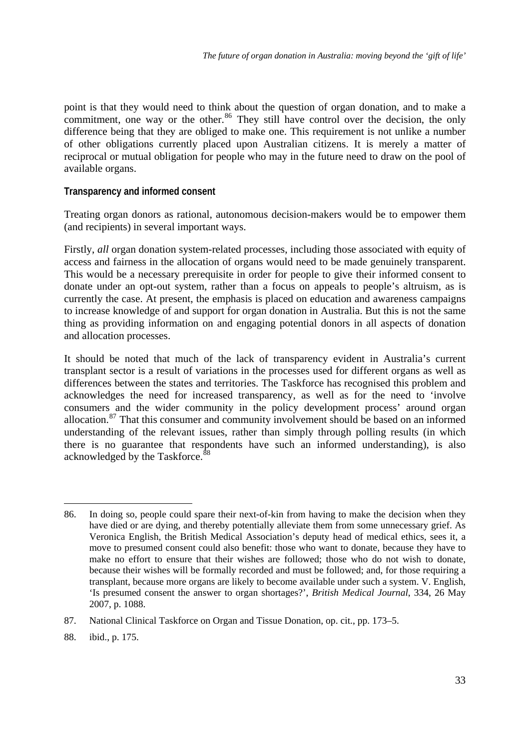<span id="page-35-0"></span>point is that they would need to think about the question of organ donation, and to make a commitment, one way or the other. $86$  They still have control over the decision, the only difference being that they are obliged to make one. This requirement is not unlike a number of other obligations currently placed upon Australian citizens. It is merely a matter of reciprocal or mutual obligation for people who may in the future need to draw on the pool of available organs.

### **Transparency and informed consent**

Treating organ donors as rational, autonomous decision-makers would be to empower them (and recipients) in several important ways.

Firstly, *all* organ donation system-related processes, including those associated with equity of access and fairness in the allocation of organs would need to be made genuinely transparent. This would be a necessary prerequisite in order for people to give their informed consent to donate under an opt-out system, rather than a focus on appeals to people's altruism, as is currently the case. At present, the emphasis is placed on education and awareness campaigns to increase knowledge of and support for organ donation in Australia. But this is not the same thing as providing information on and engaging potential donors in all aspects of donation and allocation processes.

It should be noted that much of the lack of transparency evident in Australia's current transplant sector is a result of variations in the processes used for different organs as well as differences between the states and territories. The Taskforce has recognised this problem and acknowledges the need for increased transparency, as well as for the need to 'involve consumers and the wider community in the policy development process' around organ allocation.<sup>[87](#page-35-2)</sup> That this consumer and community involvement should be based on an informed understanding of the relevant issues, rather than simply through polling results (in which there is no guarantee that respondents have such an informed understanding), is also acknowledged by the Taskforce.<sup>[88](#page-35-3)</sup>

<span id="page-35-3"></span>88. ibid., p. 175.

<u>.</u>

<span id="page-35-1"></span><sup>86.</sup> In doing so, people could spare their next-of-kin from having to make the decision when they have died or are dying, and thereby potentially alleviate them from some unnecessary grief. As Veronica English, the British Medical Association's deputy head of medical ethics, sees it, a move to presumed consent could also benefit: those who want to donate, because they have to make no effort to ensure that their wishes are followed; those who do not wish to donate, because their wishes will be formally recorded and must be followed; and, for those requiring a transplant, because more organs are likely to become available under such a system. V. English, 'Is presumed consent the answer to organ shortages?', *British Medical Journal*, 334, 26 May 2007, p. 1088.

<span id="page-35-2"></span><sup>87.</sup> National Clinical Taskforce on Organ and Tissue Donation, op. cit., pp. 173–5.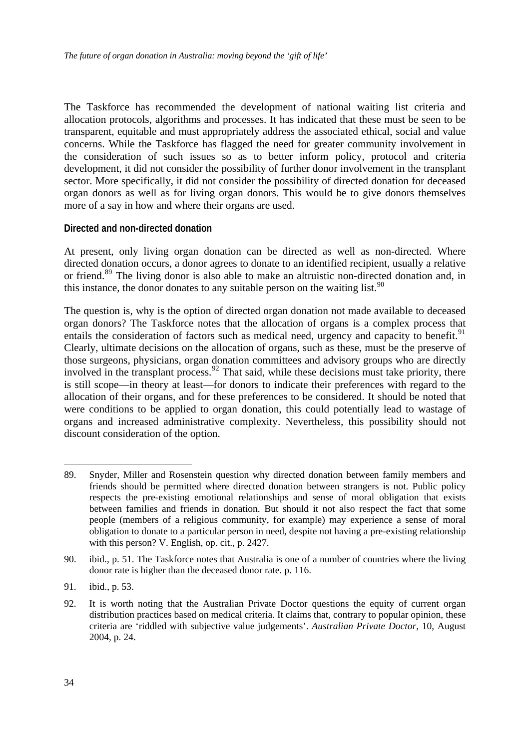<span id="page-36-0"></span>The Taskforce has recommended the development of national waiting list criteria and allocation protocols, algorithms and processes. It has indicated that these must be seen to be transparent, equitable and must appropriately address the associated ethical, social and value concerns. While the Taskforce has flagged the need for greater community involvement in the consideration of such issues so as to better inform policy, protocol and criteria development, it did not consider the possibility of further donor involvement in the transplant sector. More specifically, it did not consider the possibility of directed donation for deceased organ donors as well as for living organ donors. This would be to give donors themselves more of a say in how and where their organs are used.

### **Directed and non-directed donation**

At present, only living organ donation can be directed as well as non-directed. Where directed donation occurs, a donor agrees to donate to an identified recipient, usually a relative or friend.<sup>[89](#page-36-1)</sup> The living donor is also able to make an altruistic non-directed donation and, in this instance, the donor donates to any suitable person on the waiting list.<sup>[90](#page-36-2)</sup>

The question is, why is the option of directed organ donation not made available to deceased organ donors? The Taskforce notes that the allocation of organs is a complex process that entails the consideration of factors such as medical need, urgency and capacity to benefit.<sup>[91](#page-36-3)</sup> Clearly, ultimate decisions on the allocation of organs, such as these, must be the preserve of those surgeons, physicians, organ donation committees and advisory groups who are directly involved in the transplant process.<sup>[92](#page-36-4)</sup> That said, while these decisions must take priority, there is still scope—in theory at least—for donors to indicate their preferences with regard to the allocation of their organs, and for these preferences to be considered. It should be noted that were conditions to be applied to organ donation, this could potentially lead to wastage of organs and increased administrative complexity. Nevertheless, this possibility should not discount consideration of the option.

<span id="page-36-3"></span>91. ibid., p. 53.

<u>.</u>

<span id="page-36-1"></span><sup>89.</sup> Snyder, Miller and Rosenstein question why directed donation between family members and friends should be permitted where directed donation between strangers is not. Public policy respects the pre-existing emotional relationships and sense of moral obligation that exists between families and friends in donation. But should it not also respect the fact that some people (members of a religious community, for example) may experience a sense of moral obligation to donate to a particular person in need, despite not having a pre-existing relationship with this person? V. English, op. cit., p. 2427.

<span id="page-36-2"></span><sup>90.</sup> ibid., p. 51. The Taskforce notes that Australia is one of a number of countries where the living donor rate is higher than the deceased donor rate. p. 116.

<span id="page-36-4"></span><sup>92.</sup> It is worth noting that the Australian Private Doctor questions the equity of current organ distribution practices based on medical criteria. It claims that, contrary to popular opinion, these criteria are 'riddled with subjective value judgements'. *Australian Private Doctor*, 10, August 2004, p. 24.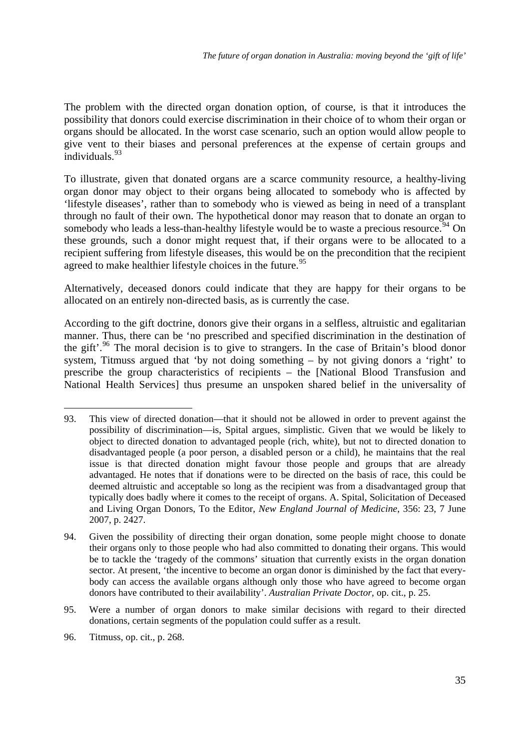The problem with the directed organ donation option, of course, is that it introduces the possibility that donors could exercise discrimination in their choice of to whom their organ or organs should be allocated. In the worst case scenario, such an option would allow people to give vent to their biases and personal preferences at the expense of certain groups and individuals.<sup>[93](#page-37-0)</sup>

To illustrate, given that donated organs are a scarce community resource, a healthy-living organ donor may object to their organs being allocated to somebody who is affected by 'lifestyle diseases', rather than to somebody who is viewed as being in need of a transplant through no fault of their own. The hypothetical donor may reason that to donate an organ to somebody who leads a less-than-healthy lifestyle would be to waste a precious resource.<sup>[94](#page-37-1)</sup> On these grounds, such a donor might request that, if their organs were to be allocated to a recipient suffering from lifestyle diseases, this would be on the precondition that the recipient agreed to make healthier lifestyle choices in the future.<sup>[95](#page-37-2)</sup>

Alternatively, deceased donors could indicate that they are happy for their organs to be allocated on an entirely non-directed basis, as is currently the case.

According to the gift doctrine, donors give their organs in a selfless, altruistic and egalitarian manner. Thus, there can be 'no prescribed and specified discrimination in the destination of the gift'.<sup>[96](#page-37-3)</sup> The moral decision is to give to strangers. In the case of Britain's blood donor system, Titmuss argued that 'by not doing something  $-$  by not giving donors a 'right' to prescribe the group characteristics of recipients – the [National Blood Transfusion and National Health Services] thus presume an unspoken shared belief in the universality of

<span id="page-37-0"></span><sup>93.</sup> This view of directed donation—that it should not be allowed in order to prevent against the possibility of discrimination—is, Spital argues, simplistic. Given that we would be likely to object to directed donation to advantaged people (rich, white), but not to directed donation to disadvantaged people (a poor person, a disabled person or a child), he maintains that the real issue is that directed donation might favour those people and groups that are already advantaged. He notes that if donations were to be directed on the basis of race, this could be deemed altruistic and acceptable so long as the recipient was from a disadvantaged group that typically does badly where it comes to the receipt of organs. A. Spital, Solicitation of Deceased and Living Organ Donors, To the Editor, *New England Journal of Medicine*, 356: 23, 7 June 2007, p. 2427.

<span id="page-37-1"></span><sup>94.</sup> Given the possibility of directing their organ donation, some people might choose to donate their organs only to those people who had also committed to donating their organs. This would be to tackle the 'tragedy of the commons' situation that currently exists in the organ donation sector. At present, 'the incentive to become an organ donor is diminished by the fact that everybody can access the available organs although only those who have agreed to become organ donors have contributed to their availability'. *Australian Private Doctor*, op. cit., p. 25.

<span id="page-37-2"></span><sup>95.</sup> Were a number of organ donors to make similar decisions with regard to their directed donations, certain segments of the population could suffer as a result.

<span id="page-37-3"></span><sup>96.</sup> Titmuss, op. cit., p. 268.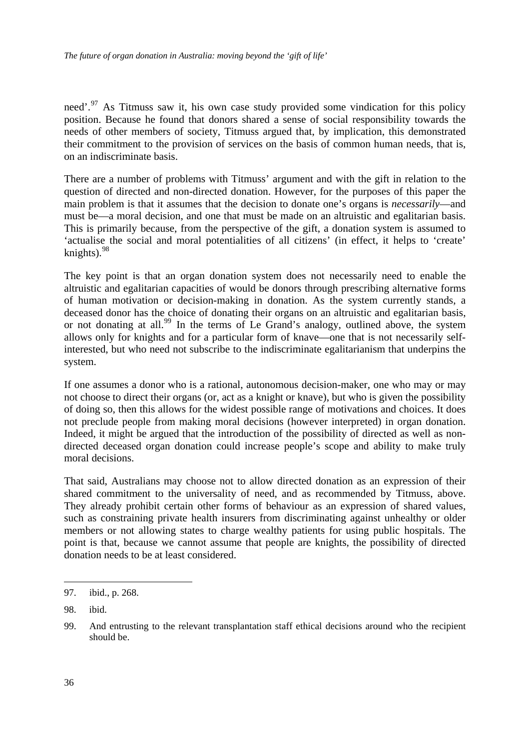need'.<sup>[97](#page-38-0)</sup> As Titmuss saw it, his own case study provided some vindication for this policy position. Because he found that donors shared a sense of social responsibility towards the needs of other members of society, Titmuss argued that, by implication, this demonstrated their commitment to the provision of services on the basis of common human needs, that is, on an indiscriminate basis.

There are a number of problems with Titmuss' argument and with the gift in relation to the question of directed and non-directed donation. However, for the purposes of this paper the main problem is that it assumes that the decision to donate one's organs is *necessarily*—and must be—a moral decision, and one that must be made on an altruistic and egalitarian basis. This is primarily because, from the perspective of the gift, a donation system is assumed to 'actualise the social and moral potentialities of all citizens' (in effect, it helps to 'create' knights).<sup>[98](#page-38-1)</sup>

The key point is that an organ donation system does not necessarily need to enable the altruistic and egalitarian capacities of would be donors through prescribing alternative forms of human motivation or decision-making in donation. As the system currently stands, a deceased donor has the choice of donating their organs on an altruistic and egalitarian basis, or not donating at all.<sup>[99](#page-38-2)</sup> In the terms of Le Grand's analogy, outlined above, the system allows only for knights and for a particular form of knave—one that is not necessarily selfinterested, but who need not subscribe to the indiscriminate egalitarianism that underpins the system.

If one assumes a donor who is a rational, autonomous decision-maker, one who may or may not choose to direct their organs (or, act as a knight or knave), but who is given the possibility of doing so, then this allows for the widest possible range of motivations and choices. It does not preclude people from making moral decisions (however interpreted) in organ donation. Indeed, it might be argued that the introduction of the possibility of directed as well as nondirected deceased organ donation could increase people's scope and ability to make truly moral decisions.

That said, Australians may choose not to allow directed donation as an expression of their shared commitment to the universality of need, and as recommended by Titmuss, above. They already prohibit certain other forms of behaviour as an expression of shared values, such as constraining private health insurers from discriminating against unhealthy or older members or not allowing states to charge wealthy patients for using public hospitals. The point is that, because we cannot assume that people are knights, the possibility of directed donation needs to be at least considered.

<span id="page-38-0"></span><sup>97.</sup> ibid., p. 268.

<span id="page-38-1"></span><sup>98.</sup> ibid.

<span id="page-38-2"></span><sup>99.</sup> And entrusting to the relevant transplantation staff ethical decisions around who the recipient should be.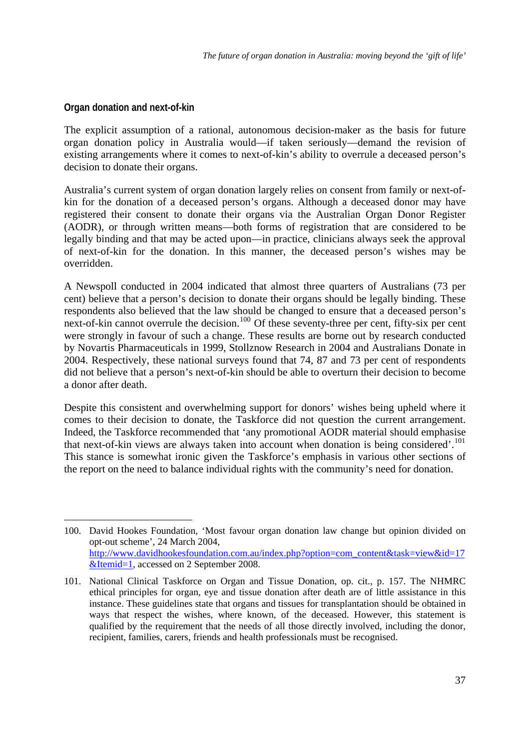# <span id="page-39-0"></span>**Organ donation and next-of-kin**

1

The explicit assumption of a rational, autonomous decision-maker as the basis for future organ donation policy in Australia would—if taken seriously—demand the revision of existing arrangements where it comes to next-of-kin's ability to overrule a deceased person's decision to donate their organs.

Australia's current system of organ donation largely relies on consent from family or next-ofkin for the donation of a deceased person's organs. Although a deceased donor may have registered their consent to donate their organs via the Australian Organ Donor Register (AODR), or through written means—both forms of registration that are considered to be legally binding and that may be acted upon—in practice, clinicians always seek the approval of next-of-kin for the donation. In this manner, the deceased person's wishes may be overridden.

A Newspoll conducted in 2004 indicated that almost three quarters of Australians (73 per cent) believe that a person's decision to donate their organs should be legally binding. These respondents also believed that the law should be changed to ensure that a deceased person's next-of-kin cannot overrule the decision.<sup>[100](#page-39-1)</sup> Of these seventy-three per cent, fifty-six per cent were strongly in favour of such a change. These results are borne out by research conducted by Novartis Pharmaceuticals in 1999, Stollznow Research in 2004 and Australians Donate in 2004. Respectively, these national surveys found that 74, 87 and 73 per cent of respondents did not believe that a person's next-of-kin should be able to overturn their decision to become a donor after death.

Despite this consistent and overwhelming support for donors' wishes being upheld where it comes to their decision to donate, the Taskforce did not question the current arrangement. Indeed, the Taskforce recommended that 'any promotional AODR material should emphasise that next-of-kin views are always taken into account when donation is being considered'.<sup>[101](#page-39-2)</sup> This stance is somewhat ironic given the Taskforce's emphasis in various other sections of the report on the need to balance individual rights with the community's need for donation.

<span id="page-39-1"></span><sup>100.</sup> David Hookes Foundation, 'Most favour organ donation law change but opinion divided on opt-out scheme', 24 March 2004, [http://www.davidhookesfoundation.com.au/index.php?option=com\\_content&task=view&id=17](http://www.davidhookesfoundation.com.au/index.php?option=com_content&task=view&id=17&Itemid=1) [&Itemid=1](http://www.davidhookesfoundation.com.au/index.php?option=com_content&task=view&id=17&Itemid=1), accessed on 2 September 2008.

<span id="page-39-2"></span><sup>101.</sup> National Clinical Taskforce on Organ and Tissue Donation, op. cit., p. 157. The NHMRC ethical principles for organ, eye and tissue donation after death are of little assistance in this instance. These guidelines state that organs and tissues for transplantation should be obtained in ways that respect the wishes, where known, of the deceased. However, this statement is qualified by the requirement that the needs of all those directly involved, including the donor, recipient, families, carers, friends and health professionals must be recognised.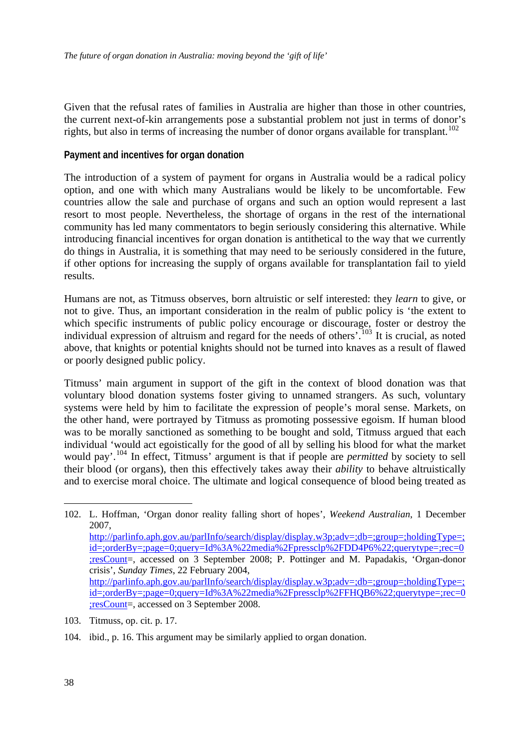<span id="page-40-0"></span>Given that the refusal rates of families in Australia are higher than those in other countries, the current next-of-kin arrangements pose a substantial problem not just in terms of donor's rights, but also in terms of increasing the number of donor organs available for transplant.<sup>[102](#page-40-1)</sup>

### **Payment and incentives for organ donation**

The introduction of a system of payment for organs in Australia would be a radical policy option, and one with which many Australians would be likely to be uncomfortable. Few countries allow the sale and purchase of organs and such an option would represent a last resort to most people. Nevertheless, the shortage of organs in the rest of the international community has led many commentators to begin seriously considering this alternative. While introducing financial incentives for organ donation is antithetical to the way that we currently do things in Australia, it is something that may need to be seriously considered in the future, if other options for increasing the supply of organs available for transplantation fail to yield results.

Humans are not, as Titmuss observes, born altruistic or self interested: they *learn* to give, or not to give. Thus, an important consideration in the realm of public policy is 'the extent to which specific instruments of public policy encourage or discourage, foster or destroy the individual expression of altruism and regard for the needs of others'.<sup>[103](#page-40-2)</sup> It is crucial, as noted above, that knights or potential knights should not be turned into knaves as a result of flawed or poorly designed public policy.

Titmuss' main argument in support of the gift in the context of blood donation was that voluntary blood donation systems foster giving to unnamed strangers. As such, voluntary systems were held by him to facilitate the expression of people's moral sense. Markets, on the other hand, were portrayed by Titmuss as promoting possessive egoism. If human blood was to be morally sanctioned as something to be bought and sold, Titmuss argued that each individual 'would act egoistically for the good of all by selling his blood for what the market would pay'.[104](#page-40-3) In effect, Titmuss' argument is that if people are *permitted* by society to sell their blood (or organs), then this effectively takes away their *ability* to behave altruistically and to exercise moral choice. The ultimate and logical consequence of blood being treated as

<u>.</u>

<span id="page-40-1"></span><sup>102.</sup> L. Hoffman, 'Organ donor reality falling short of hopes', *Weekend Australian*, 1 December 2007, [http://parlinfo.aph.gov.au/parlInfo/search/display/display.w3p;adv=;db=;group=;holdingType=;](http://parlinfo.aph.gov.au/parlInfo/search/display/display.w3p;adv=;db=;group=;holdingType=;id=;orderBy=;page=0;query=Id%3A%22media%2Fpressclp%2FDD4P6%22;querytype=;rec=0;resCount) [id=;orderBy=;page=0;query=Id%3A%22media%2Fpressclp%2FDD4P6%22;querytype=;rec=0](http://parlinfo.aph.gov.au/parlInfo/search/display/display.w3p;adv=;db=;group=;holdingType=;id=;orderBy=;page=0;query=Id%3A%22media%2Fpressclp%2FDD4P6%22;querytype=;rec=0;resCount) [;resCount](http://parlinfo.aph.gov.au/parlInfo/search/display/display.w3p;adv=;db=;group=;holdingType=;id=;orderBy=;page=0;query=Id%3A%22media%2Fpressclp%2FDD4P6%22;querytype=;rec=0;resCount)=, accessed on 3 September 2008; P. Pottinger and M. Papadakis, 'Organ-donor crisis', *Sunday Times*, 22 February 2004, [http://parlinfo.aph.gov.au/parlInfo/search/display/display.w3p;adv=;db=;group=;holdingType=;](http://parlinfo.aph.gov.au/parlInfo/search/display/display.w3p;adv=;db=;group=;holdingType=;id=;orderBy=;page=0;query=Id%3A%22media%2Fpressclp%2FFHQB6%22;querytype=;rec=0;resCount) [id=;orderBy=;page=0;query=Id%3A%22media%2Fpressclp%2FFHQB6%22;querytype=;rec=0](http://parlinfo.aph.gov.au/parlInfo/search/display/display.w3p;adv=;db=;group=;holdingType=;id=;orderBy=;page=0;query=Id%3A%22media%2Fpressclp%2FFHQB6%22;querytype=;rec=0;resCount) [;resCount](http://parlinfo.aph.gov.au/parlInfo/search/display/display.w3p;adv=;db=;group=;holdingType=;id=;orderBy=;page=0;query=Id%3A%22media%2Fpressclp%2FFHQB6%22;querytype=;rec=0;resCount)=, accessed on 3 September 2008.

<span id="page-40-2"></span><sup>103.</sup> Titmuss, op. cit. p. 17.

<span id="page-40-3"></span><sup>104.</sup> ibid., p. 16. This argument may be similarly applied to organ donation.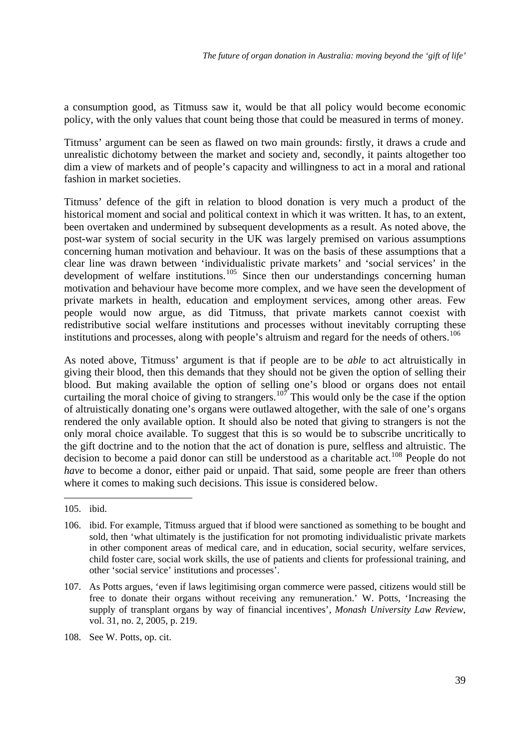a consumption good, as Titmuss saw it, would be that all policy would become economic policy, with the only values that count being those that could be measured in terms of money.

Titmuss' argument can be seen as flawed on two main grounds: firstly, it draws a crude and unrealistic dichotomy between the market and society and, secondly, it paints altogether too dim a view of markets and of people's capacity and willingness to act in a moral and rational fashion in market societies.

Titmuss' defence of the gift in relation to blood donation is very much a product of the historical moment and social and political context in which it was written. It has, to an extent, been overtaken and undermined by subsequent developments as a result. As noted above, the post-war system of social security in the UK was largely premised on various assumptions concerning human motivation and behaviour. It was on the basis of these assumptions that a clear line was drawn between 'individualistic private markets' and 'social services' in the development of welfare institutions.<sup>[105](#page-41-0)</sup> Since then our understandings concerning human motivation and behaviour have become more complex, and we have seen the development of private markets in health, education and employment services, among other areas. Few people would now argue, as did Titmuss, that private markets cannot coexist with redistributive social welfare institutions and processes without inevitably corrupting these institutions and processes, along with people's altruism and regard for the needs of others.<sup>[106](#page-41-1)</sup>

As noted above, Titmuss' argument is that if people are to be *able* to act altruistically in giving their blood, then this demands that they should not be given the option of selling their blood. But making available the option of selling one's blood or organs does not entail curtailing the moral choice of giving to strangers.<sup>[107](#page-41-2)</sup> This would only be the case if the option of altruistically donating one's organs were outlawed altogether, with the sale of one's organs rendered the only available option. It should also be noted that giving to strangers is not the only moral choice available. To suggest that this is so would be to subscribe uncritically to the gift doctrine and to the notion that the act of donation is pure, selfless and altruistic. The decision to become a paid donor can still be understood as a charitable act.[108](#page-41-3) People do not *have* to become a donor, either paid or unpaid. That said, some people are freer than others where it comes to making such decisions. This issue is considered below.

<u>.</u>

<span id="page-41-0"></span><sup>105.</sup> ibid.

<span id="page-41-1"></span><sup>106.</sup> ibid. For example, Titmuss argued that if blood were sanctioned as something to be bought and sold, then 'what ultimately is the justification for not promoting individualistic private markets in other component areas of medical care, and in education, social security, welfare services, child foster care, social work skills, the use of patients and clients for professional training, and other 'social service' institutions and processes'.

<span id="page-41-2"></span><sup>107.</sup> As Potts argues, 'even if laws legitimising organ commerce were passed, citizens would still be free to donate their organs without receiving any remuneration.' W. Potts, 'Increasing the supply of transplant organs by way of financial incentives', *Monash University Law Review*, vol. 31, no. 2, 2005, p. 219.

<span id="page-41-3"></span><sup>108.</sup> See W. Potts, op. cit.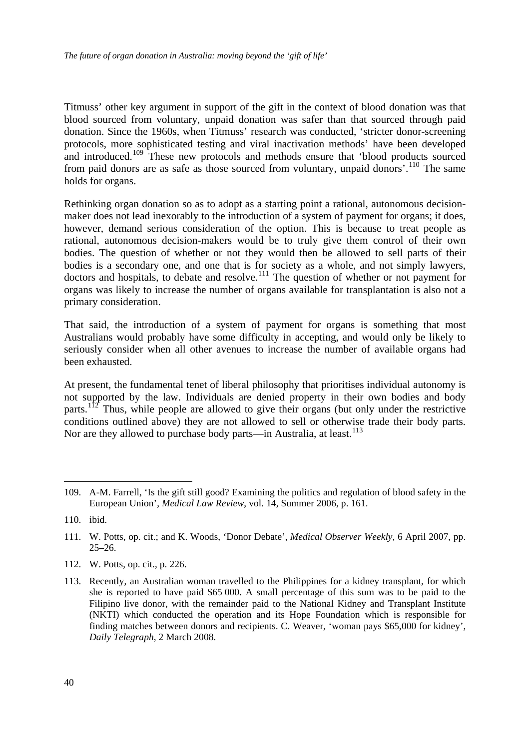Titmuss' other key argument in support of the gift in the context of blood donation was that blood sourced from voluntary, unpaid donation was safer than that sourced through paid donation. Since the 1960s, when Titmuss' research was conducted, 'stricter donor-screening protocols, more sophisticated testing and viral inactivation methods' have been developed and introduced.<sup>[109](#page-42-0)</sup> These new protocols and methods ensure that 'blood products sourced from paid donors are as safe as those sourced from voluntary, unpaid donors'.[110](#page-42-1) The same holds for organs.

Rethinking organ donation so as to adopt as a starting point a rational, autonomous decisionmaker does not lead inexorably to the introduction of a system of payment for organs; it does, however, demand serious consideration of the option. This is because to treat people as rational, autonomous decision-makers would be to truly give them control of their own bodies. The question of whether or not they would then be allowed to sell parts of their bodies is a secondary one, and one that is for society as a whole, and not simply lawyers, doctors and hospitals, to debate and resolve.<sup>[111](#page-42-2)</sup> The question of whether or not payment for organs was likely to increase the number of organs available for transplantation is also not a primary consideration.

That said, the introduction of a system of payment for organs is something that most Australians would probably have some difficulty in accepting, and would only be likely to seriously consider when all other avenues to increase the number of available organs had been exhausted.

At present, the fundamental tenet of liberal philosophy that prioritises individual autonomy is not supported by the law. Individuals are denied property in their own bodies and body parts.<sup>[112](#page-42-3)</sup> Thus, while people are allowed to give their organs (but only under the restrictive conditions outlined above) they are not allowed to sell or otherwise trade their body parts. Nor are they allowed to purchase body parts—in Australia, at least.<sup>[113](#page-42-4)</sup>

1

<span id="page-42-3"></span>112. W. Potts, op. cit., p. 226.

<span id="page-42-0"></span><sup>109.</sup> A-M. Farrell, 'Is the gift still good? Examining the politics and regulation of blood safety in the European Union', *Medical Law Review*, vol. 14, Summer 2006, p. 161.

<span id="page-42-1"></span><sup>110.</sup> ibid.

<span id="page-42-2"></span><sup>111.</sup> W. Potts, op. cit.; and K. Woods, 'Donor Debate', *Medical Observer Weekly*, 6 April 2007, pp. 25–26.

<span id="page-42-4"></span><sup>113.</sup> Recently, an Australian woman travelled to the Philippines for a kidney transplant, for which she is reported to have paid \$65 000. A small percentage of this sum was to be paid to the Filipino live donor, with the remainder paid to the National Kidney and Transplant Institute (NKTI) which conducted the operation and its Hope Foundation which is responsible for finding matches between donors and recipients. C. Weaver, 'woman pays \$65,000 for kidney', *Daily Telegraph*, 2 March 2008.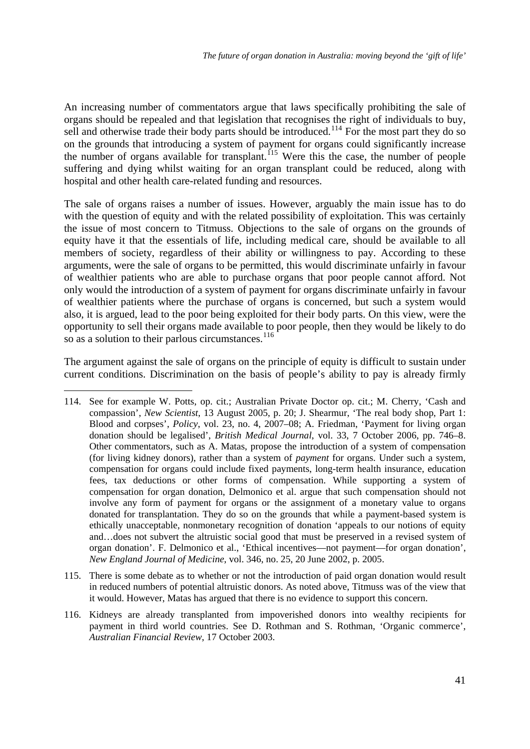An increasing number of commentators argue that laws specifically prohibiting the sale of organs should be repealed and that legislation that recognises the right of individuals to buy, sell and otherwise trade their body parts should be introduced.<sup>[114](#page-43-0)</sup> For the most part they do so on the grounds that introducing a system of payment for organs could significantly increase the number of organs available for transplant.<sup>[115](#page-43-1)</sup> Were this the case, the number of people suffering and dying whilst waiting for an organ transplant could be reduced, along with hospital and other health care-related funding and resources.

The sale of organs raises a number of issues. However, arguably the main issue has to do with the question of equity and with the related possibility of exploitation. This was certainly the issue of most concern to Titmuss. Objections to the sale of organs on the grounds of equity have it that the essentials of life, including medical care, should be available to all members of society, regardless of their ability or willingness to pay. According to these arguments, were the sale of organs to be permitted, this would discriminate unfairly in favour of wealthier patients who are able to purchase organs that poor people cannot afford. Not only would the introduction of a system of payment for organs discriminate unfairly in favour of wealthier patients where the purchase of organs is concerned, but such a system would also, it is argued, lead to the poor being exploited for their body parts. On this view, were the opportunity to sell their organs made available to poor people, then they would be likely to do so as a solution to their parlous circumstances.<sup>[116](#page-43-2)</sup>

The argument against the sale of organs on the principle of equity is difficult to sustain under current conditions. Discrimination on the basis of people's ability to pay is already firmly

- <span id="page-43-1"></span>115. There is some debate as to whether or not the introduction of paid organ donation would result in reduced numbers of potential altruistic donors. As noted above, Titmuss was of the view that it would. However, Matas has argued that there is no evidence to support this concern.
- <span id="page-43-2"></span>116. Kidneys are already transplanted from impoverished donors into wealthy recipients for payment in third world countries. See D. Rothman and S. Rothman, 'Organic commerce', *Australian Financial Review*, 17 October 2003.

<span id="page-43-0"></span><sup>114.</sup> See for example W. Potts, op. cit.; Australian Private Doctor op. cit.; M. Cherry, 'Cash and compassion', *New Scientist*, 13 August 2005, p. 20; J. Shearmur, 'The real body shop, Part 1: Blood and corpses', *Policy*, vol. 23, no. 4, 2007–08; A. Friedman, 'Payment for living organ donation should be legalised', *British Medical Journal*, vol. 33, 7 October 2006, pp. 746–8. Other commentators, such as A. Matas, propose the introduction of a system of compensation (for living kidney donors), rather than a system of *payment* for organs. Under such a system, compensation for organs could include fixed payments, long-term health insurance, education fees, tax deductions or other forms of compensation. While supporting a system of compensation for organ donation, Delmonico et al. argue that such compensation should not involve any form of payment for organs or the assignment of a monetary value to organs donated for transplantation. They do so on the grounds that while a payment-based system is ethically unacceptable, nonmonetary recognition of donation 'appeals to our notions of equity and…does not subvert the altruistic social good that must be preserved in a revised system of organ donation'. F. Delmonico et al., 'Ethical incentives—not payment—for organ donation', *New England Journal of Medicine*, vol. 346, no. 25, 20 June 2002, p. 2005.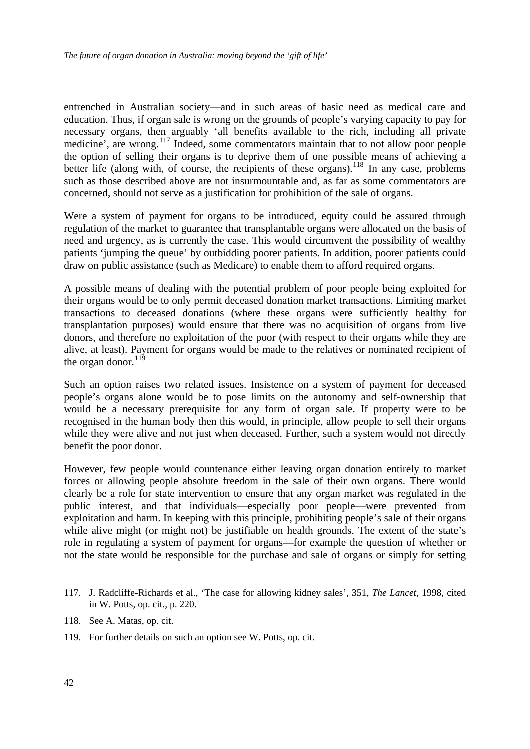entrenched in Australian society—and in such areas of basic need as medical care and education. Thus, if organ sale is wrong on the grounds of people's varying capacity to pay for necessary organs, then arguably 'all benefits available to the rich, including all private medicine', are wrong.[117](#page-44-0) Indeed, some commentators maintain that to not allow poor people the option of selling their organs is to deprive them of one possible means of achieving a better life (along with, of course, the recipients of these organs).<sup>[118](#page-44-1)</sup> In any case, problems such as those described above are not insurmountable and, as far as some commentators are concerned, should not serve as a justification for prohibition of the sale of organs.

Were a system of payment for organs to be introduced, equity could be assured through regulation of the market to guarantee that transplantable organs were allocated on the basis of need and urgency, as is currently the case. This would circumvent the possibility of wealthy patients 'jumping the queue' by outbidding poorer patients. In addition, poorer patients could draw on public assistance (such as Medicare) to enable them to afford required organs.

A possible means of dealing with the potential problem of poor people being exploited for their organs would be to only permit deceased donation market transactions. Limiting market transactions to deceased donations (where these organs were sufficiently healthy for transplantation purposes) would ensure that there was no acquisition of organs from live donors, and therefore no exploitation of the poor (with respect to their organs while they are alive, at least). Payment for organs would be made to the relatives or nominated recipient of the organ donor.  $^{119}$  $^{119}$  $^{119}$ 

Such an option raises two related issues. Insistence on a system of payment for deceased people's organs alone would be to pose limits on the autonomy and self-ownership that would be a necessary prerequisite for any form of organ sale. If property were to be recognised in the human body then this would, in principle, allow people to sell their organs while they were alive and not just when deceased. Further, such a system would not directly benefit the poor donor.

However, few people would countenance either leaving organ donation entirely to market forces or allowing people absolute freedom in the sale of their own organs. There would clearly be a role for state intervention to ensure that any organ market was regulated in the public interest, and that individuals—especially poor people—were prevented from exploitation and harm. In keeping with this principle, prohibiting people's sale of their organs while alive might (or might not) be justifiable on health grounds. The extent of the state's role in regulating a system of payment for organs—for example the question of whether or not the state would be responsible for the purchase and sale of organs or simply for setting

<span id="page-44-0"></span><sup>117.</sup> J. Radcliffe-Richards et al., 'The case for allowing kidney sales', 351, *The Lancet*, 1998, cited in W. Potts, op. cit., p. 220.

<span id="page-44-1"></span><sup>118.</sup> See A. Matas, op. cit.

<span id="page-44-2"></span><sup>119.</sup> For further details on such an option see W. Potts, op. cit.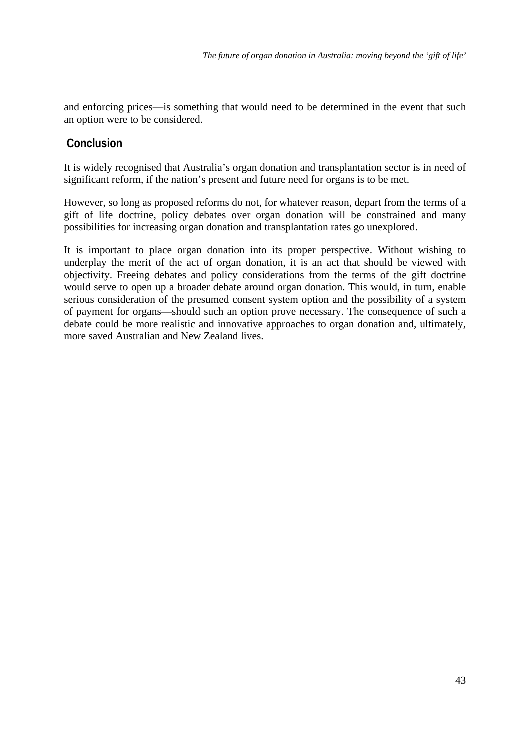<span id="page-45-0"></span>and enforcing prices—is something that would need to be determined in the event that such an option were to be considered.

# **Conclusion**

It is widely recognised that Australia's organ donation and transplantation sector is in need of significant reform, if the nation's present and future need for organs is to be met.

However, so long as proposed reforms do not, for whatever reason, depart from the terms of a gift of life doctrine, policy debates over organ donation will be constrained and many possibilities for increasing organ donation and transplantation rates go unexplored.

It is important to place organ donation into its proper perspective. Without wishing to underplay the merit of the act of organ donation, it is an act that should be viewed with objectivity. Freeing debates and policy considerations from the terms of the gift doctrine would serve to open up a broader debate around organ donation. This would, in turn, enable serious consideration of the presumed consent system option and the possibility of a system of payment for organs—should such an option prove necessary. The consequence of such a debate could be more realistic and innovative approaches to organ donation and, ultimately, more saved Australian and New Zealand lives.